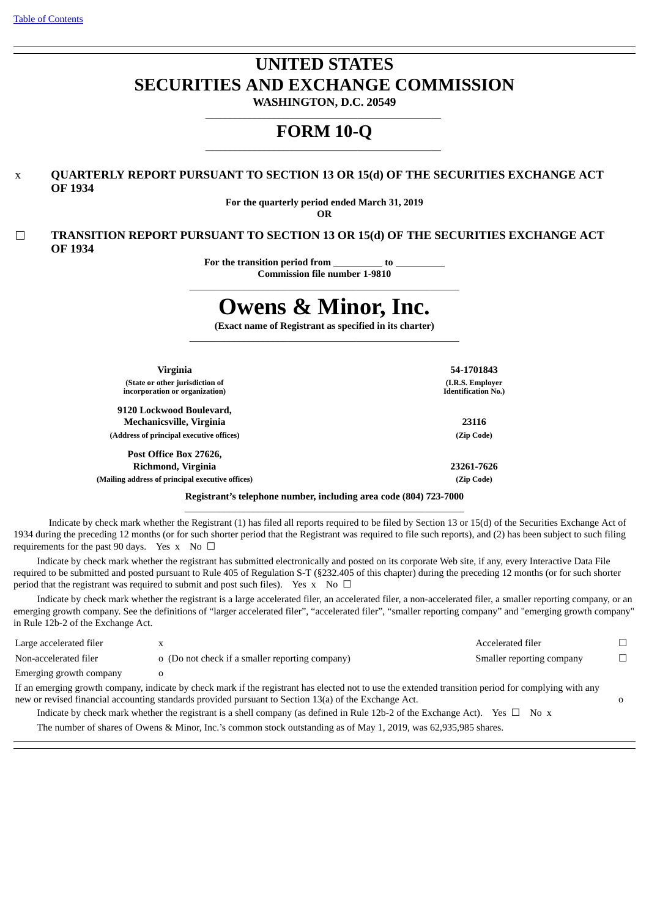# **UNITED STATES SECURITIES AND EXCHANGE COMMISSION**

**WASHINGTON, D.C. 20549** \_\_\_\_\_\_\_\_\_\_\_\_\_\_\_\_\_\_\_\_\_\_\_\_\_\_\_\_\_\_\_\_\_\_\_\_\_\_\_\_\_\_\_\_\_\_\_\_

# **FORM 10-Q** \_\_\_\_\_\_\_\_\_\_\_\_\_\_\_\_\_\_\_\_\_\_\_\_\_\_\_\_\_\_\_\_\_\_\_\_\_\_\_\_\_\_\_\_\_\_\_\_

# x **QUARTERLY REPORT PURSUANT TO SECTION 13 OR 15(d) OF THE SECURITIES EXCHANGE ACT OF 1934**

**For the quarterly period ended March 31, 2019 OR**

☐ **TRANSITION REPORT PURSUANT TO SECTION 13 OR 15(d) OF THE SECURITIES EXCHANGE ACT OF 1934**

**For the transition period from to**

**Commission file number 1-9810** \_\_\_\_\_\_\_\_\_\_\_\_\_\_\_\_\_\_\_\_\_\_\_\_\_\_\_\_\_\_\_\_\_\_\_\_\_\_\_\_\_\_\_\_\_\_\_\_\_\_\_\_\_\_\_

# **Owens & Minor, Inc.**

**(Exact name of Registrant as specified in its charter)** \_\_\_\_\_\_\_\_\_\_\_\_\_\_\_\_\_\_\_\_\_\_\_\_\_\_\_\_\_\_\_\_\_\_\_\_\_\_\_\_\_\_\_\_\_\_\_\_\_\_\_\_\_\_\_

| Virginia                                                          | 54-1701843                                     |
|-------------------------------------------------------------------|------------------------------------------------|
| (State or other jurisdiction of<br>incorporation or organization) | (I.R.S. Employer<br><b>Identification No.)</b> |
| 9120 Lockwood Boulevard.                                          |                                                |
| Mechanicsville, Virginia                                          | 23116                                          |
| (Address of principal executive offices)                          | (Zip Code)                                     |
| Post Office Box 27626,                                            |                                                |
| Richmond, Virginia                                                | 23261-7626                                     |
| (Mailing address of principal executive offices)                  | (Zip Code)                                     |
|                                                                   |                                                |

**Registrant's telephone number, including area code (804) 723-7000** \_\_\_\_\_\_\_\_\_\_\_\_\_\_\_\_\_\_\_\_\_\_\_\_\_\_\_\_\_\_\_\_\_\_\_\_\_\_\_\_\_\_\_\_\_\_\_\_\_\_\_\_\_\_\_\_\_

Indicate by check mark whether the Registrant (1) has filed all reports required to be filed by Section 13 or 15(d) of the Securities Exchange Act of 1934 during the preceding 12 months (or for such shorter period that the Registrant was required to file such reports), and (2) has been subject to such filing requirements for the past 90 days. Yes x No  $\Box$ 

Indicate by check mark whether the registrant has submitted electronically and posted on its corporate Web site, if any, every Interactive Data File required to be submitted and posted pursuant to Rule 405 of Regulation S-T (§232.405 of this chapter) during the preceding 12 months (or for such shorter period that the registrant was required to submit and post such files). Yes  $x$  No  $\Box$ 

Indicate by check mark whether the registrant is a large accelerated filer, an accelerated filer, a non-accelerated filer, a smaller reporting company, or an emerging growth company. See the definitions of "larger accelerated filer", "accelerated filer", "smaller reporting company" and "emerging growth company" in Rule 12b-2 of the Exchange Act.

| Large accelerated filer                                                                                                                              | X                                               | Accelerated filer         |    |  |  |  |  |
|------------------------------------------------------------------------------------------------------------------------------------------------------|-------------------------------------------------|---------------------------|----|--|--|--|--|
| Non-accelerated filer                                                                                                                                | o (Do not check if a smaller reporting company) | Smaller reporting company | П. |  |  |  |  |
| Emerging growth company                                                                                                                              |                                                 |                           |    |  |  |  |  |
| If an emerging growth company, indicate by check mark if the registrant has elected not to use the extended transition period for complying with any |                                                 |                           |    |  |  |  |  |
| new or revised financial accounting standards provided pursuant to Section 13(a) of the Exchange Act.                                                |                                                 |                           |    |  |  |  |  |

Indicate by check mark whether the registrant is a shell company (as defined in Rule 12b-2 of the Exchange Act). Yes  $\Box$  No x

The number of shares of Owens & Minor, Inc.'s common stock outstanding as of May 1, 2019, was 62,935,985 shares.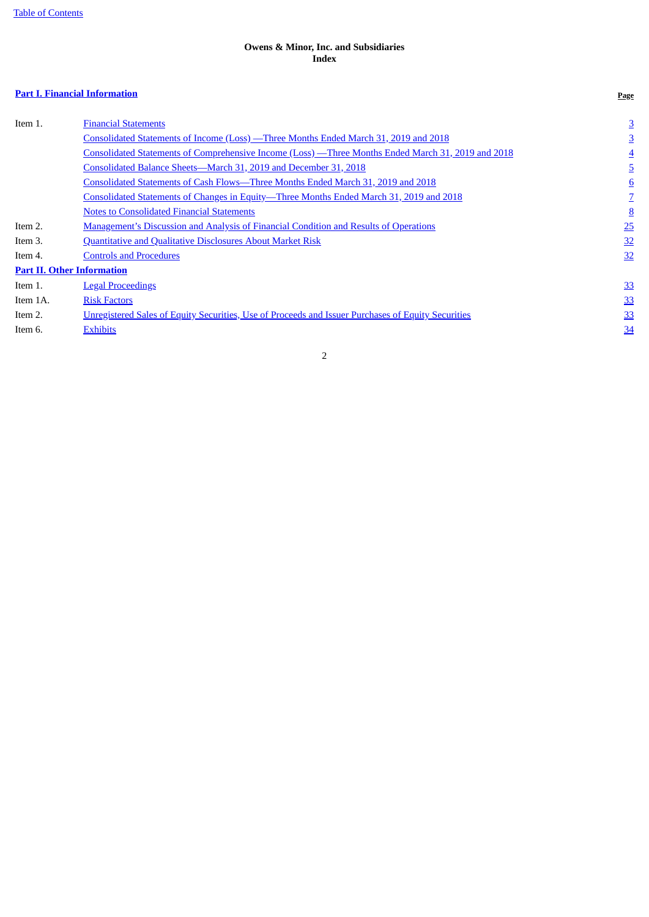# **Owens & Minor, Inc. and Subsidiaries Index**

# <span id="page-1-0"></span>**Part I. Financial [Information](#page-2-0) Page**

| Item 1.  | <b>Financial Statements</b>                                                                        | $\overline{3}$ |
|----------|----------------------------------------------------------------------------------------------------|----------------|
|          | <u>Consolidated Statements of Income (Loss) — Three Months Ended March 31, 2019 and 2018</u>       | 3              |
|          | Consolidated Statements of Comprehensive Income (Loss) -Three Months Ended March 31, 2019 and 2018 | $\overline{4}$ |
|          | Consolidated Balance Sheets-March 31, 2019 and December 31, 2018                                   | 5              |
|          | Consolidated Statements of Cash Flows—Three Months Ended March 31, 2019 and 2018                   | 6              |
|          | <u>Consolidated Statements of Changes in Equity-Three Months Ended March 31, 2019 and 2018</u>     |                |
|          | <b>Notes to Consolidated Financial Statements</b>                                                  | 8              |
| Item 2.  | <b>Management's Discussion and Analysis of Financial Condition and Results of Operations</b>       | 25             |
| Item 3.  | Quantitative and Qualitative Disclosures About Market Risk                                         | 32             |
| Item 4.  | <b>Controls and Procedures</b>                                                                     | <u>32</u>      |
|          | <b>Part II. Other Information</b>                                                                  |                |
| Item 1.  | <b>Legal Proceedings</b>                                                                           | 33             |
| Item 1A. | <b>Risk Factors</b>                                                                                | 33             |
| Item 2.  | Unregistered Sales of Equity Securities, Use of Proceeds and Issuer Purchases of Equity Securities | <u>33</u>      |
| Item 6.  | <b>Exhibits</b>                                                                                    | 34             |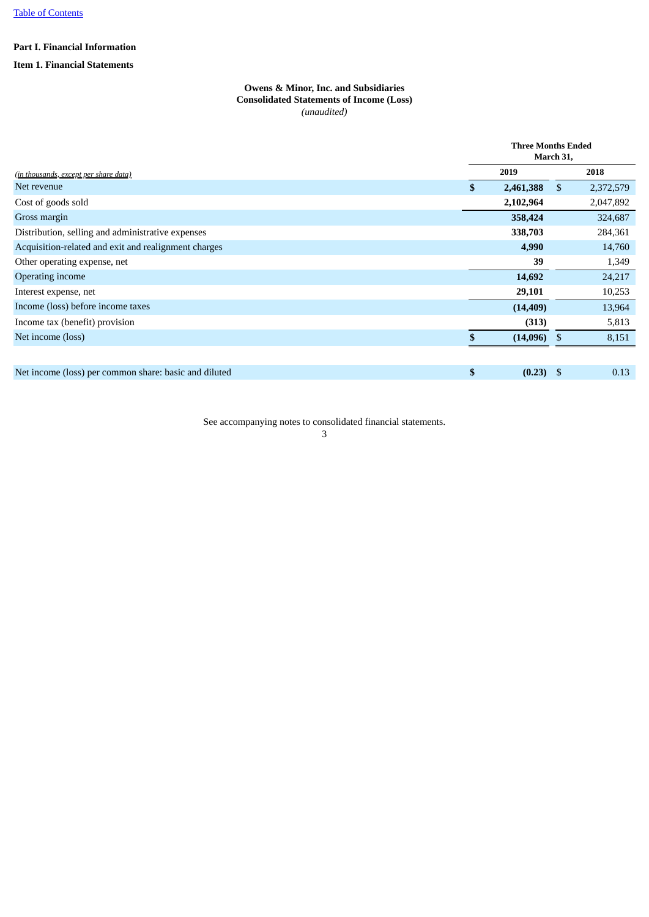# <span id="page-2-0"></span>**Part I. Financial Information**

# <span id="page-2-2"></span><span id="page-2-1"></span>**Item 1. Financial Statements**

# **Owens & Minor, Inc. and Subsidiaries Consolidated Statements of Income (Loss)** *(unaudited)*

|                                                       | <b>Three Months Ended</b><br>March 31, |    |           |  |  |
|-------------------------------------------------------|----------------------------------------|----|-----------|--|--|
| (in thousands, except per share data)                 | 2019                                   |    | 2018      |  |  |
| Net revenue                                           | \$<br>2,461,388                        | \$ | 2,372,579 |  |  |
| Cost of goods sold                                    | 2,102,964                              |    | 2,047,892 |  |  |
| Gross margin                                          | 358,424                                |    | 324,687   |  |  |
| Distribution, selling and administrative expenses     | 338,703                                |    | 284,361   |  |  |
| Acquisition-related and exit and realignment charges  | 4,990                                  |    | 14,760    |  |  |
| Other operating expense, net                          | 39                                     |    | 1,349     |  |  |
| Operating income                                      | 14,692                                 |    | 24,217    |  |  |
| Interest expense, net                                 | 29,101                                 |    | 10,253    |  |  |
| Income (loss) before income taxes                     | (14, 409)                              |    | 13,964    |  |  |
| Income tax (benefit) provision                        | (313)                                  |    | 5,813     |  |  |
| Net income (loss)                                     | $(14,096)$ \$                          |    | 8,151     |  |  |
|                                                       |                                        |    |           |  |  |
| Net income (loss) per common share: basic and diluted | \$<br>$(0.23)$ \$                      |    | 0.13      |  |  |

See accompanying notes to consolidated financial statements.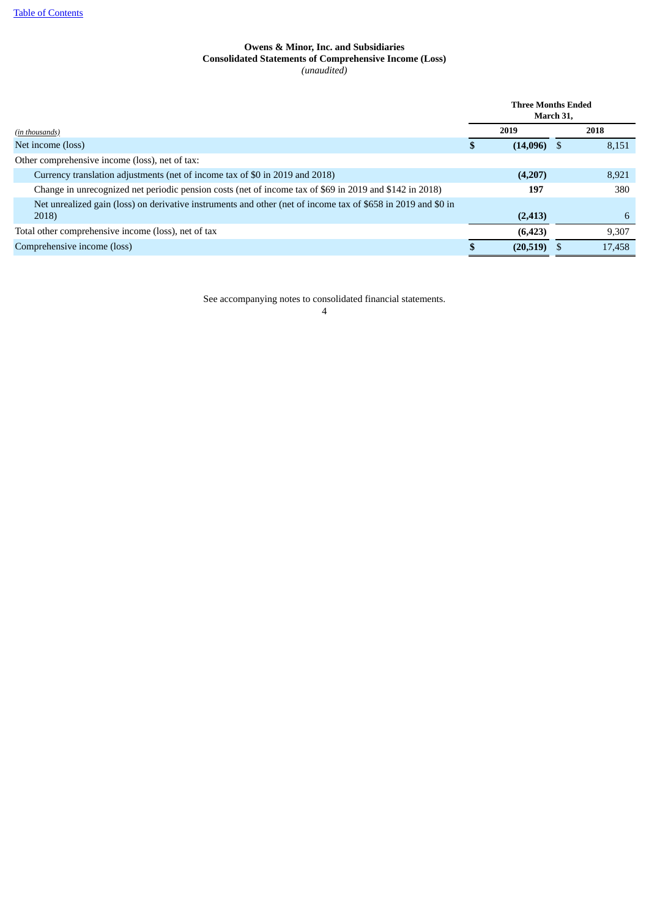# **Owens & Minor, Inc. and Subsidiaries Consolidated Statements of Comprehensive Income (Loss)** *(unaudited)*

<span id="page-3-0"></span>

|                                                                                                               | <b>Three Months Ended</b><br>March 31, |               |  |        |
|---------------------------------------------------------------------------------------------------------------|----------------------------------------|---------------|--|--------|
| (in thousands)                                                                                                |                                        | 2019          |  | 2018   |
| Net income (loss)                                                                                             |                                        | $(14,096)$ \$ |  | 8,151  |
| Other comprehensive income (loss), net of tax:                                                                |                                        |               |  |        |
| Currency translation adjustments (net of income tax of \$0 in 2019 and 2018)                                  |                                        | (4,207)       |  | 8,921  |
| Change in unrecognized net periodic pension costs (net of income tax of \$69 in 2019 and \$142 in 2018)       |                                        | 197           |  | 380    |
| Net unrealized gain (loss) on derivative instruments and other (net of income tax of \$658 in 2019 and \$0 in |                                        |               |  |        |
| 2018)                                                                                                         |                                        | (2, 413)      |  | 6      |
| Total other comprehensive income (loss), net of tax                                                           |                                        | (6, 423)      |  | 9,307  |
| Comprehensive income (loss)                                                                                   |                                        | (20,519)      |  | 17,458 |

See accompanying notes to consolidated financial statements.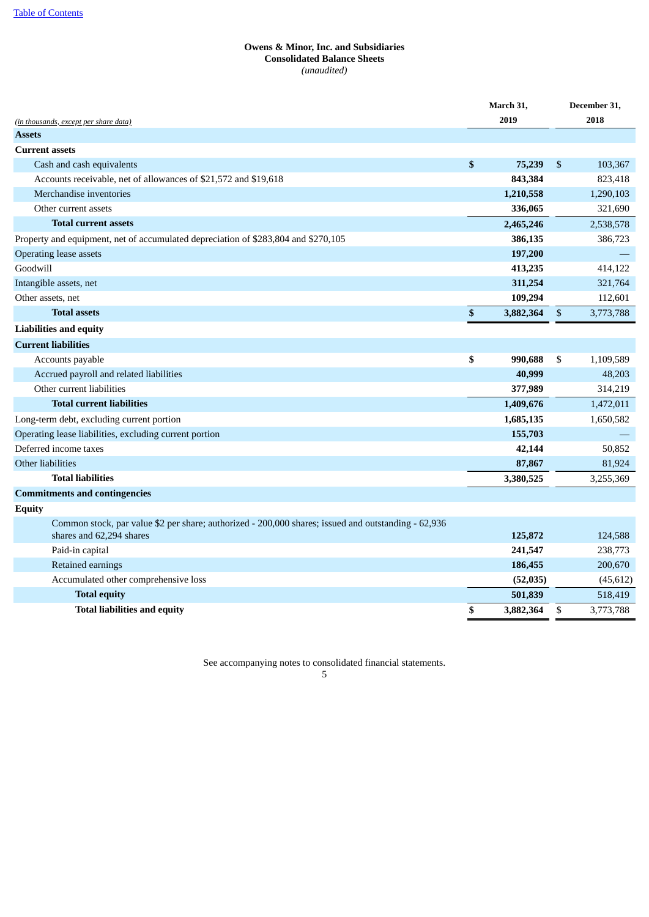# **Owens & Minor, Inc. and Subsidiaries Consolidated Balance Sheets** *(unaudited)*

<span id="page-4-0"></span>

|                                                                                                     | March 31,       |              | December 31, |
|-----------------------------------------------------------------------------------------------------|-----------------|--------------|--------------|
| <i>(in thousands, except per share data)</i>                                                        | 2019            |              | 2018         |
| <b>Assets</b>                                                                                       |                 |              |              |
| <b>Current assets</b>                                                                               |                 |              |              |
| Cash and cash equivalents                                                                           | \$<br>75,239    | \$           | 103,367      |
| Accounts receivable, net of allowances of \$21,572 and \$19,618                                     | 843,384         |              | 823,418      |
| Merchandise inventories                                                                             | 1,210,558       |              | 1,290,103    |
| Other current assets                                                                                | 336,065         |              | 321,690      |
| <b>Total current assets</b>                                                                         | 2,465,246       |              | 2,538,578    |
| Property and equipment, net of accumulated depreciation of \$283,804 and \$270,105                  | 386,135         |              | 386,723      |
| Operating lease assets                                                                              | 197,200         |              |              |
| Goodwill                                                                                            | 413,235         |              | 414,122      |
| Intangible assets, net                                                                              | 311,254         |              | 321,764      |
| Other assets, net                                                                                   | 109,294         |              | 112,601      |
| <b>Total assets</b>                                                                                 | \$<br>3,882,364 | $\mathbb{S}$ | 3,773,788    |
| <b>Liabilities and equity</b>                                                                       |                 |              |              |
| <b>Current liabilities</b>                                                                          |                 |              |              |
| Accounts payable                                                                                    | \$<br>990,688   | \$           | 1,109,589    |
| Accrued payroll and related liabilities                                                             | 40,999          |              | 48,203       |
| Other current liabilities                                                                           | 377,989         |              | 314,219      |
| <b>Total current liabilities</b>                                                                    | 1,409,676       |              | 1,472,011    |
| Long-term debt, excluding current portion                                                           | 1,685,135       |              | 1,650,582    |
| Operating lease liabilities, excluding current portion                                              | 155,703         |              |              |
| Deferred income taxes                                                                               | 42,144          |              | 50,852       |
| Other liabilities                                                                                   | 87,867          |              | 81,924       |
| <b>Total liabilities</b>                                                                            | 3,380,525       |              | 3,255,369    |
| <b>Commitments and contingencies</b>                                                                |                 |              |              |
| <b>Equity</b>                                                                                       |                 |              |              |
| Common stock, par value \$2 per share; authorized - 200,000 shares; issued and outstanding - 62,936 |                 |              |              |
| shares and 62,294 shares                                                                            | 125,872         |              | 124,588      |
| Paid-in capital                                                                                     | 241,547         |              | 238,773      |
| Retained earnings                                                                                   | 186,455         |              | 200,670      |
| Accumulated other comprehensive loss                                                                | (52,035)        |              | (45, 612)    |
| <b>Total equity</b>                                                                                 | 501,839         |              | 518,419      |
| <b>Total liabilities and equity</b>                                                                 | \$<br>3,882,364 | \$           | 3,773,788    |

See accompanying notes to consolidated financial statements.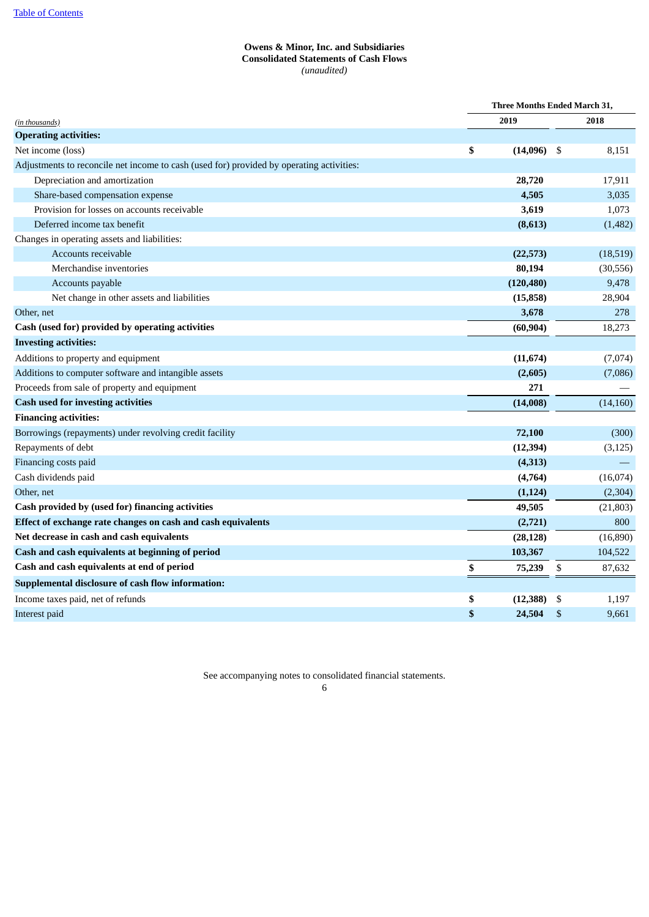# **Owens & Minor, Inc. and Subsidiaries Consolidated Statements of Cash Flows** *(unaudited)*

<span id="page-5-0"></span>

|                                                                                          | Three Months Ended March 31, |            |     |           |
|------------------------------------------------------------------------------------------|------------------------------|------------|-----|-----------|
| (in thousands)                                                                           |                              | 2019       |     | 2018      |
| <b>Operating activities:</b>                                                             |                              |            |     |           |
| Net income (loss)                                                                        | \$                           | (14,096)   | -\$ | 8,151     |
| Adjustments to reconcile net income to cash (used for) provided by operating activities: |                              |            |     |           |
| Depreciation and amortization                                                            |                              | 28,720     |     | 17,911    |
| Share-based compensation expense                                                         |                              | 4,505      |     | 3,035     |
| Provision for losses on accounts receivable                                              |                              | 3,619      |     | 1,073     |
| Deferred income tax benefit                                                              |                              | (8,613)    |     | (1,482)   |
| Changes in operating assets and liabilities:                                             |                              |            |     |           |
| Accounts receivable                                                                      |                              | (22, 573)  |     | (18,519)  |
| Merchandise inventories                                                                  |                              | 80,194     |     | (30, 556) |
| Accounts payable                                                                         |                              | (120, 480) |     | 9,478     |
| Net change in other assets and liabilities                                               |                              | (15, 858)  |     | 28,904    |
| Other, net                                                                               |                              | 3,678      |     | 278       |
| Cash (used for) provided by operating activities                                         |                              | (60, 904)  |     | 18,273    |
| <b>Investing activities:</b>                                                             |                              |            |     |           |
| Additions to property and equipment                                                      |                              | (11, 674)  |     | (7,074)   |
| Additions to computer software and intangible assets                                     |                              | (2,605)    |     | (7,086)   |
| Proceeds from sale of property and equipment                                             |                              | 271        |     |           |
| <b>Cash used for investing activities</b>                                                |                              | (14,008)   |     | (14, 160) |
| <b>Financing activities:</b>                                                             |                              |            |     |           |
| Borrowings (repayments) under revolving credit facility                                  |                              | 72,100     |     | (300)     |
| Repayments of debt                                                                       |                              | (12, 394)  |     | (3, 125)  |
| Financing costs paid                                                                     |                              | (4, 313)   |     |           |
| Cash dividends paid                                                                      |                              | (4,764)    |     | (16,074)  |
| Other, net                                                                               |                              | (1, 124)   |     | (2, 304)  |
| Cash provided by (used for) financing activities                                         |                              | 49,505     |     | (21, 803) |
| Effect of exchange rate changes on cash and cash equivalents                             |                              | (2,721)    |     | 800       |
| Net decrease in cash and cash equivalents                                                |                              | (28, 128)  |     | (16, 890) |
| Cash and cash equivalents at beginning of period                                         |                              | 103,367    |     | 104,522   |
| Cash and cash equivalents at end of period                                               | \$                           | 75,239     | \$  | 87,632    |
| Supplemental disclosure of cash flow information:                                        |                              |            |     |           |
| Income taxes paid, net of refunds                                                        | \$                           | (12, 388)  | \$  | 1,197     |
| Interest paid                                                                            | \$                           | 24,504     | \$  | 9,661     |
|                                                                                          |                              |            |     |           |

See accompanying notes to consolidated financial statements.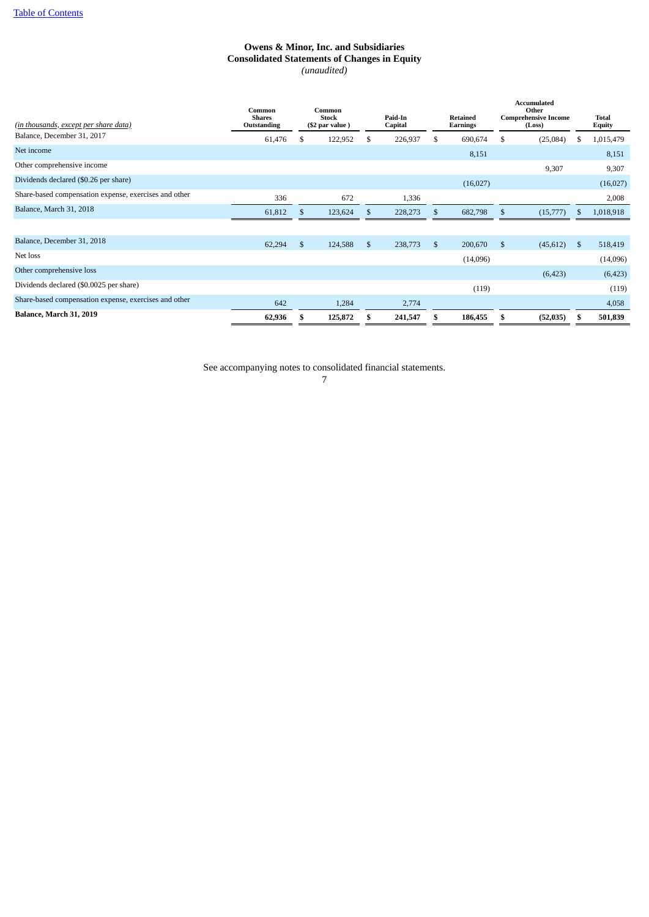# **Owens & Minor, Inc. and Subsidiaries Consolidated Statements of Changes in Equity** *(unaudited)*

<span id="page-6-0"></span>

| (in thousands, except per share data)                 | Common<br><b>Shares</b><br>Outstanding |              | Common<br><b>Stock</b><br>(\$2 par value) |    | Paid-In<br>Capital |    | <b>Retained</b><br>Earnings |    | <b>Accumulated</b><br>Other<br><b>Comprehensive Income</b><br>(Loss) |                | <b>Total</b><br>Equity |
|-------------------------------------------------------|----------------------------------------|--------------|-------------------------------------------|----|--------------------|----|-----------------------------|----|----------------------------------------------------------------------|----------------|------------------------|
| Balance, December 31, 2017                            | 61,476                                 | \$.          | 122,952                                   | \$ | 226,937            | \$ | 690,674                     | S  | (25,084)                                                             | S              | 1,015,479              |
| Net income                                            |                                        |              |                                           |    |                    |    | 8,151                       |    |                                                                      |                | 8,151                  |
| Other comprehensive income                            |                                        |              |                                           |    |                    |    |                             |    | 9,307                                                                |                | 9,307                  |
| Dividends declared (\$0.26 per share)                 |                                        |              |                                           |    |                    |    | (16,027)                    |    |                                                                      |                | (16,027)               |
| Share-based compensation expense, exercises and other | 336                                    |              | 672                                       |    | 1,336              |    |                             |    |                                                                      |                | 2,008                  |
| Balance, March 31, 2018                               | 61,812                                 | -S           | 123,624                                   | S  | 228,273            | S  | 682,798                     | S  | (15, 777)                                                            | S              | 1,018,918              |
|                                                       |                                        |              |                                           |    |                    |    |                             |    |                                                                      |                |                        |
| Balance, December 31, 2018                            | 62,294                                 | $\mathbb{S}$ | 124,588                                   | \$ | 238,773            | \$ | 200,670                     | \$ | (45, 612)                                                            | $\mathfrak{s}$ | 518,419                |
| Net loss                                              |                                        |              |                                           |    |                    |    | (14,096)                    |    |                                                                      |                | (14,096)               |
| Other comprehensive loss                              |                                        |              |                                           |    |                    |    |                             |    | (6, 423)                                                             |                | (6,423)                |
| Dividends declared (\$0.0025 per share)               |                                        |              |                                           |    |                    |    | (119)                       |    |                                                                      |                | (119)                  |
| Share-based compensation expense, exercises and other | 642                                    |              | 1,284                                     |    | 2,774              |    |                             |    |                                                                      |                | 4,058                  |
| Balance, March 31, 2019                               | 62,936                                 |              | 125,872                                   | S. | 241,547            |    | 186,455                     | S  | (52, 035)                                                            | \$             | 501,839                |

See accompanying notes to consolidated financial statements.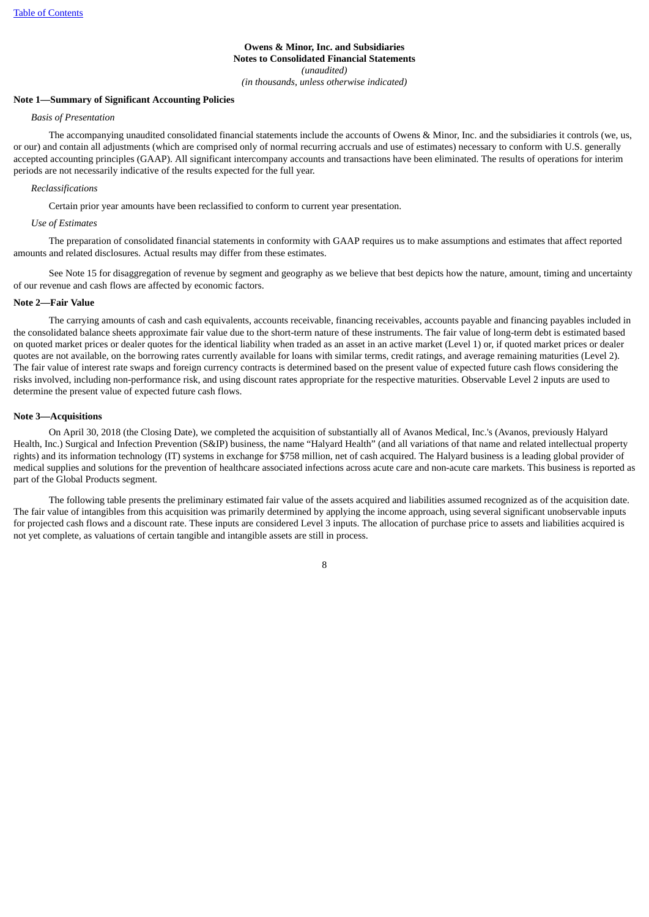# **Owens & Minor, Inc. and Subsidiaries Notes to Consolidated Financial Statements** *(unaudited) (in thousands, unless otherwise indicated)*

### <span id="page-7-0"></span>**Note 1—Summary of Significant Accounting Policies**

#### *Basis of Presentation*

The accompanying unaudited consolidated financial statements include the accounts of Owens & Minor, Inc. and the subsidiaries it controls (we, us, or our) and contain all adjustments (which are comprised only of normal recurring accruals and use of estimates) necessary to conform with U.S. generally accepted accounting principles (GAAP). All significant intercompany accounts and transactions have been eliminated. The results of operations for interim periods are not necessarily indicative of the results expected for the full year.

#### *Reclassifications*

Certain prior year amounts have been reclassified to conform to current year presentation.

### *Use of Estimates*

The preparation of consolidated financial statements in conformity with GAAP requires us to make assumptions and estimates that affect reported amounts and related disclosures. Actual results may differ from these estimates.

See Note 15 for disaggregation of revenue by segment and geography as we believe that best depicts how the nature, amount, timing and uncertainty of our revenue and cash flows are affected by economic factors.

### **Note 2—Fair Value**

The carrying amounts of cash and cash equivalents, accounts receivable, financing receivables, accounts payable and financing payables included in the consolidated balance sheets approximate fair value due to the short-term nature of these instruments. The fair value of long-term debt is estimated based on quoted market prices or dealer quotes for the identical liability when traded as an asset in an active market (Level 1) or, if quoted market prices or dealer quotes are not available, on the borrowing rates currently available for loans with similar terms, credit ratings, and average remaining maturities (Level 2). The fair value of interest rate swaps and foreign currency contracts is determined based on the present value of expected future cash flows considering the risks involved, including non-performance risk, and using discount rates appropriate for the respective maturities. Observable Level 2 inputs are used to determine the present value of expected future cash flows.

#### **Note 3—Acquisitions**

On April 30, 2018 (the Closing Date), we completed the acquisition of substantially all of Avanos Medical, Inc.'s (Avanos, previously Halyard Health, Inc.) Surgical and Infection Prevention (S&IP) business, the name "Halyard Health" (and all variations of that name and related intellectual property rights) and its information technology (IT) systems in exchange for \$758 million, net of cash acquired. The Halyard business is a leading global provider of medical supplies and solutions for the prevention of healthcare associated infections across acute care and non-acute care markets. This business is reported as part of the Global Products segment.

The following table presents the preliminary estimated fair value of the assets acquired and liabilities assumed recognized as of the acquisition date. The fair value of intangibles from this acquisition was primarily determined by applying the income approach, using several significant unobservable inputs for projected cash flows and a discount rate. These inputs are considered Level 3 inputs. The allocation of purchase price to assets and liabilities acquired is not yet complete, as valuations of certain tangible and intangible assets are still in process.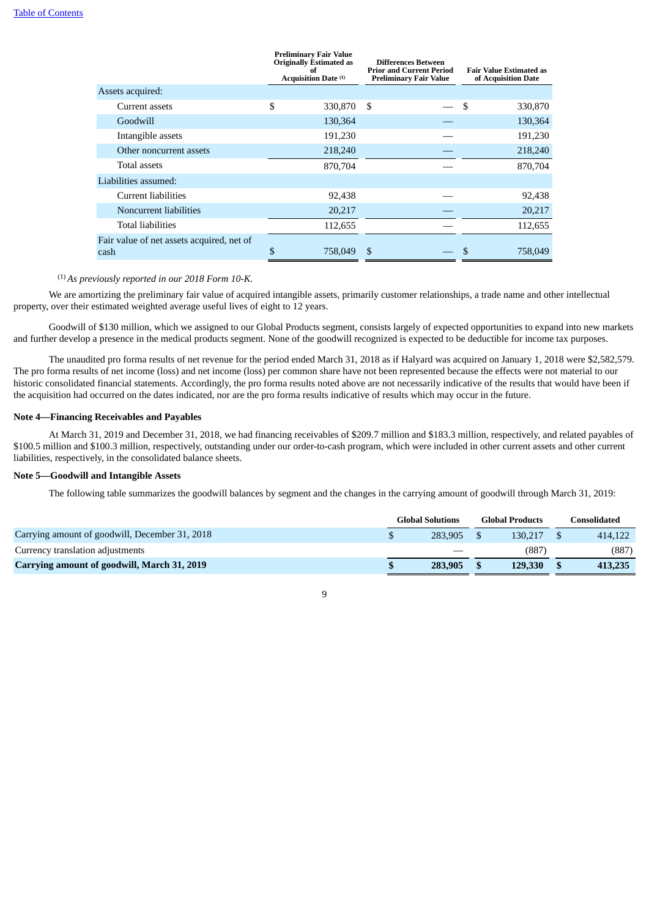|                                                   | <b>Preliminary Fair Value</b><br><b>Originally Estimated as</b><br><b>Acquisition Date (1)</b> | <b>Differences Between</b><br><b>Prior and Current Period</b><br><b>Preliminary Fair Value</b> | <b>Fair Value Estimated as</b><br>of Acquisition Date |
|---------------------------------------------------|------------------------------------------------------------------------------------------------|------------------------------------------------------------------------------------------------|-------------------------------------------------------|
| Assets acquired:                                  |                                                                                                |                                                                                                |                                                       |
| Current assets                                    | \$<br>330,870                                                                                  | \$                                                                                             | \$<br>330,870                                         |
| Goodwill                                          | 130,364                                                                                        |                                                                                                | 130,364                                               |
| Intangible assets                                 | 191,230                                                                                        |                                                                                                | 191,230                                               |
| Other noncurrent assets                           | 218,240                                                                                        |                                                                                                | 218,240                                               |
| Total assets                                      | 870,704                                                                                        |                                                                                                | 870,704                                               |
| Liabilities assumed:                              |                                                                                                |                                                                                                |                                                       |
| <b>Current liabilities</b>                        | 92,438                                                                                         |                                                                                                | 92,438                                                |
| Noncurrent liabilities                            | 20,217                                                                                         |                                                                                                | 20,217                                                |
| <b>Total liabilities</b>                          | 112,655                                                                                        |                                                                                                | 112,655                                               |
| Fair value of net assets acquired, net of<br>cash | \$<br>758,049                                                                                  | \$                                                                                             | 758,049                                               |

(1) *As previously reported in our 2018 Form 10-K.*

We are amortizing the preliminary fair value of acquired intangible assets, primarily customer relationships, a trade name and other intellectual property, over their estimated weighted average useful lives of eight to 12 years.

Goodwill of \$130 million, which we assigned to our Global Products segment, consists largely of expected opportunities to expand into new markets and further develop a presence in the medical products segment. None of the goodwill recognized is expected to be deductible for income tax purposes.

The unaudited pro forma results of net revenue for the period ended March 31, 2018 as if Halyard was acquired on January 1, 2018 were \$2,582,579. The pro forma results of net income (loss) and net income (loss) per common share have not been represented because the effects were not material to our historic consolidated financial statements. Accordingly, the pro forma results noted above are not necessarily indicative of the results that would have been if the acquisition had occurred on the dates indicated, nor are the pro forma results indicative of results which may occur in the future.

### **Note 4—Financing Receivables and Payables**

At March 31, 2019 and December 31, 2018, we had financing receivables of \$209.7 million and \$183.3 million, respectively, and related payables of \$100.5 million and \$100.3 million, respectively, outstanding under our order-to-cash program, which were included in other current assets and other current liabilities, respectively, in the consolidated balance sheets.

### **Note 5—Goodwill and Intangible Assets**

The following table summarizes the goodwill balances by segment and the changes in the carrying amount of goodwill through March 31, 2019:

|                                                | <b>Global Solutions</b> |         |  | <b>Global Products</b> | consolidated |  |  |
|------------------------------------------------|-------------------------|---------|--|------------------------|--------------|--|--|
| Carrying amount of goodwill, December 31, 2018 |                         | 283,905 |  | 130.217                | 414,122      |  |  |
| Currency translation adjustments               |                         |         |  | (887                   | (887)        |  |  |
| Carrying amount of goodwill, March 31, 2019    |                         | 283,905 |  | 129,330                | 413,235      |  |  |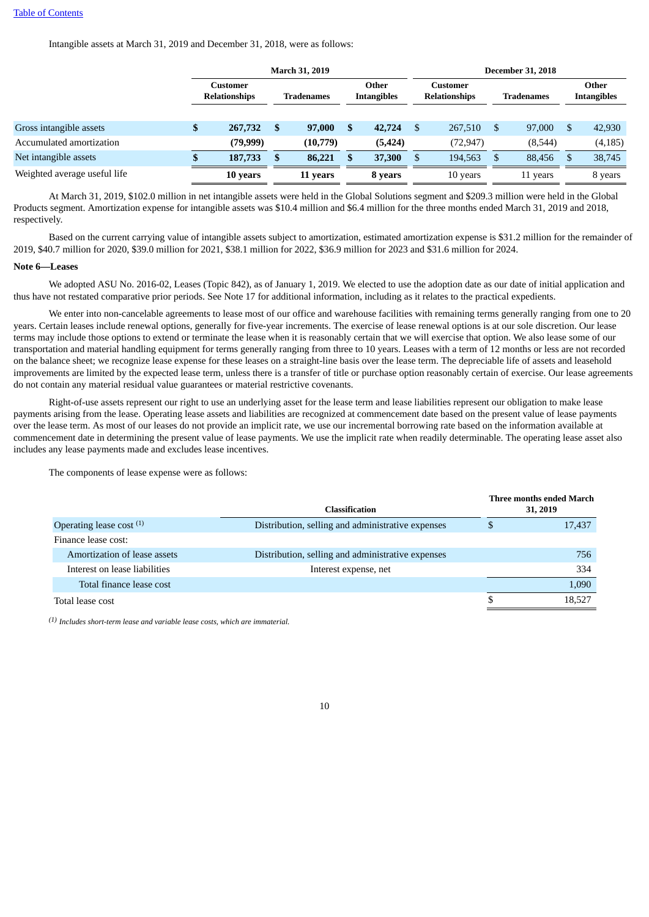Intangible assets at March 31, 2019 and December 31, 2018, were as follows:

| <b>March 31, 2019</b>                   |   |                                             |   |                             |    |                 |                      |          |                                               |                             |
|-----------------------------------------|---|---------------------------------------------|---|-----------------------------|----|-----------------|----------------------|----------|-----------------------------------------------|-----------------------------|
| <b>Customer</b><br><b>Relationships</b> |   | <b>Tradenames</b>                           |   | Other<br><b>Intangibles</b> |    | <b>Customer</b> |                      |          |                                               | Other<br><b>Intangibles</b> |
|                                         |   |                                             |   |                             |    |                 |                      |          |                                               |                             |
| Φ                                       | S | 97,000                                      | S | 42,724                      | \$ | 267,510         | S                    | 97,000   | <sup>S</sup>                                  | 42,930                      |
|                                         |   | (10,779)                                    |   | (5, 424)                    |    | (72, 947)       |                      | (8,544)  |                                               | (4, 185)                    |
|                                         | S | 86,221                                      |   | 37,300                      | £. | 194,563         |                      | 88.456   |                                               | 38,745                      |
|                                         |   | 11 years                                    |   | 8 years                     |    | 10 years        |                      | 11 years |                                               | 8 years                     |
|                                         |   | 267,732<br>(79, 999)<br>187,733<br>10 years |   |                             |    |                 | <b>Relationships</b> |          | <b>December 31, 2018</b><br><b>Tradenames</b> |                             |

At March 31, 2019, \$102.0 million in net intangible assets were held in the Global Solutions segment and \$209.3 million were held in the Global Products segment. Amortization expense for intangible assets was \$10.4 million and \$6.4 million for the three months ended March 31, 2019 and 2018, respectively.

Based on the current carrying value of intangible assets subject to amortization, estimated amortization expense is \$31.2 million for the remainder of 2019, \$40.7 million for 2020, \$39.0 million for 2021, \$38.1 million for 2022, \$36.9 million for 2023 and \$31.6 million for 2024.

### **Note 6—Leases**

We adopted ASU No. 2016-02, Leases (Topic 842), as of January 1, 2019. We elected to use the adoption date as our date of initial application and thus have not restated comparative prior periods. See Note 17 for additional information, including as it relates to the practical expedients.

We enter into non-cancelable agreements to lease most of our office and warehouse facilities with remaining terms generally ranging from one to 20 years. Certain leases include renewal options, generally for five-year increments. The exercise of lease renewal options is at our sole discretion. Our lease terms may include those options to extend or terminate the lease when it is reasonably certain that we will exercise that option. We also lease some of our transportation and material handling equipment for terms generally ranging from three to 10 years. Leases with a term of 12 months or less are not recorded on the balance sheet; we recognize lease expense for these leases on a straight-line basis over the lease term. The depreciable life of assets and leasehold improvements are limited by the expected lease term, unless there is a transfer of title or purchase option reasonably certain of exercise. Our lease agreements do not contain any material residual value guarantees or material restrictive covenants.

Right-of-use assets represent our right to use an underlying asset for the lease term and lease liabilities represent our obligation to make lease payments arising from the lease. Operating lease assets and liabilities are recognized at commencement date based on the present value of lease payments over the lease term. As most of our leases do not provide an implicit rate, we use our incremental borrowing rate based on the information available at commencement date in determining the present value of lease payments. We use the implicit rate when readily determinable. The operating lease asset also includes any lease payments made and excludes lease incentives.

The components of lease expense were as follows:

|                               | <b>Classification</b>                             | Three months ended March<br>31, 2019 |
|-------------------------------|---------------------------------------------------|--------------------------------------|
| Operating lease cost $(1)$    | Distribution, selling and administrative expenses | 17,437                               |
| Finance lease cost:           |                                                   |                                      |
| Amortization of lease assets  | Distribution, selling and administrative expenses | 756                                  |
| Interest on lease liabilities | Interest expense, net                             | 334                                  |
| Total finance lease cost      |                                                   | 1,090                                |
| Total lease cost              |                                                   | 18,527                               |
|                               |                                                   |                                      |

*(1) Includes short-term lease and variable lease costs, which are immaterial.*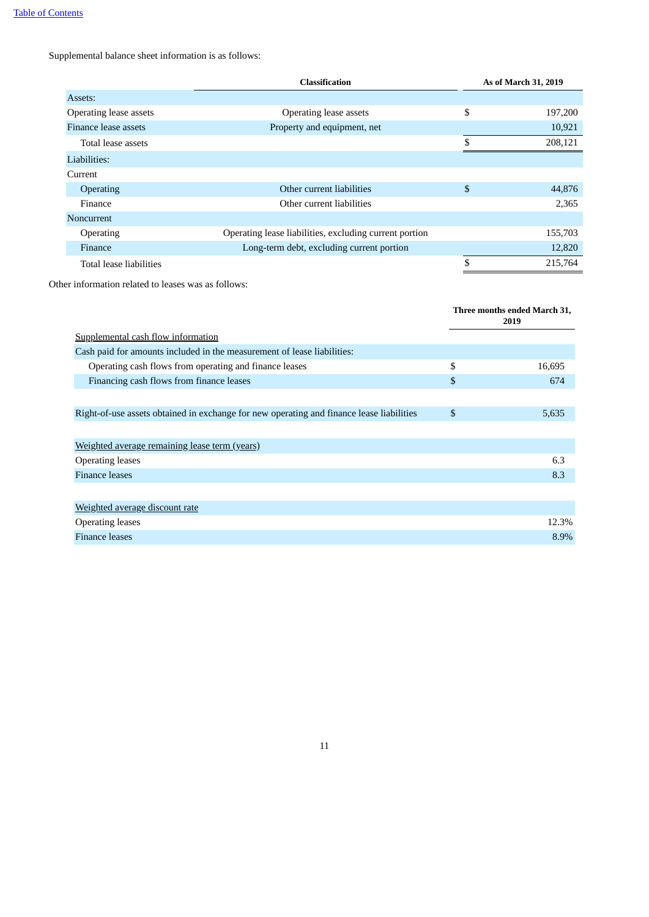Supplemental balance sheet information is as follows:

|                         | <b>Classification</b>                                  | As of March 31, 2019 |
|-------------------------|--------------------------------------------------------|----------------------|
| Assets:                 |                                                        |                      |
| Operating lease assets  | Operating lease assets                                 | \$<br>197,200        |
| Finance lease assets    | Property and equipment, net                            | 10,921               |
| Total lease assets      |                                                        | \$<br>208,121        |
| Liabilities:            |                                                        |                      |
| Current                 |                                                        |                      |
| Operating               | Other current liabilities                              | \$<br>44,876         |
| Finance                 | Other current liabilities                              | 2,365                |
| <b>Noncurrent</b>       |                                                        |                      |
| <b>Operating</b>        | Operating lease liabilities, excluding current portion | 155,703              |
| Finance                 | Long-term debt, excluding current portion              | 12,820               |
| Total lease liabilities |                                                        | \$<br>215,764        |

Other information related to leases was as follows:

|                                                                                          | Three months ended March 31,<br>2019 |
|------------------------------------------------------------------------------------------|--------------------------------------|
| <b>Supplemental cash flow information</b>                                                |                                      |
| Cash paid for amounts included in the measurement of lease liabilities:                  |                                      |
| Operating cash flows from operating and finance leases                                   | \$<br>16,695                         |
| Financing cash flows from finance leases                                                 | \$<br>674                            |
|                                                                                          |                                      |
| Right-of-use assets obtained in exchange for new operating and finance lease liabilities | \$<br>5,635                          |
|                                                                                          |                                      |
| Weighted average remaining lease term (years)                                            |                                      |
| <b>Operating leases</b>                                                                  | 6.3                                  |
| Finance leases                                                                           | 8.3                                  |
|                                                                                          |                                      |
| Weighted average discount rate                                                           |                                      |
| <b>Operating leases</b>                                                                  | 12.3%                                |
| <b>Finance leases</b>                                                                    | 8.9%                                 |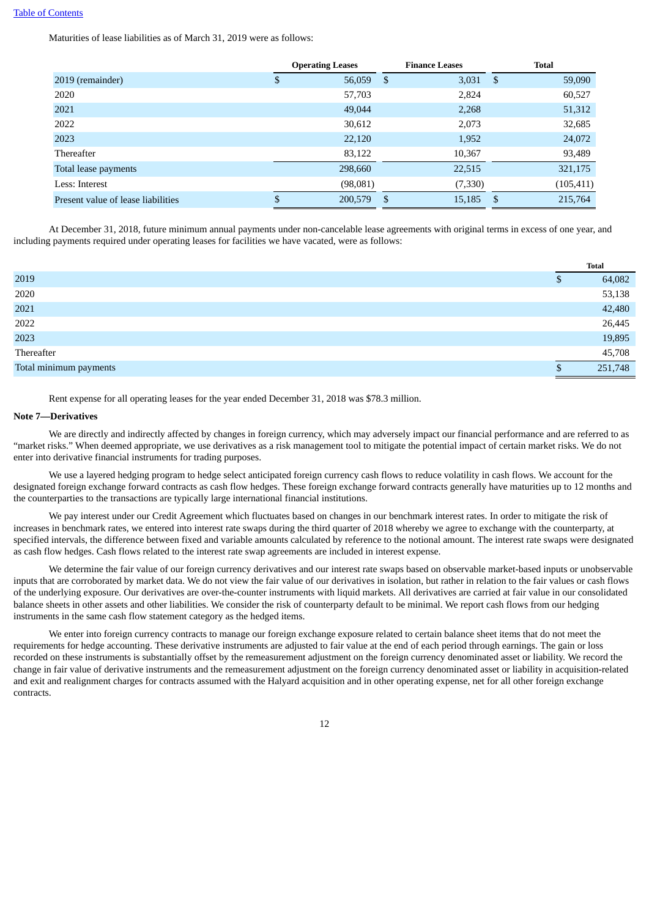Maturities of lease liabilities as of March 31, 2019 were as follows:

|                                    | <b>Operating Leases</b> |          | <b>Finance Leases</b> |            | <b>Total</b> |            |
|------------------------------------|-------------------------|----------|-----------------------|------------|--------------|------------|
| 2019 (remainder)                   |                         | 56,059   | - \$                  | $3,031$ \$ |              | 59,090     |
| 2020                               |                         | 57,703   |                       | 2,824      |              | 60,527     |
| 2021                               |                         | 49,044   |                       | 2,268      |              | 51,312     |
| 2022                               |                         | 30,612   |                       | 2,073      |              | 32,685     |
| 2023                               |                         | 22,120   |                       | 1,952      |              | 24,072     |
| Thereafter                         |                         | 83,122   |                       | 10,367     |              | 93,489     |
| Total lease payments               |                         | 298,660  |                       | 22,515     |              | 321,175    |
| Less: Interest                     |                         | (98,081) |                       | (7,330)    |              | (105, 411) |
| Present value of lease liabilities |                         | 200,579  | - \$                  | 15,185     | -S           | 215,764    |

At December 31, 2018, future minimum annual payments under non-cancelable lease agreements with original terms in excess of one year, and including payments required under operating leases for facilities we have vacated, were as follows:

|                        |     | <b>Total</b> |
|------------------------|-----|--------------|
| 2019                   | D   | 64,082       |
| 2020                   |     | 53,138       |
| 2021                   |     | 42,480       |
| 2022                   |     | 26,445       |
| 2023                   |     | 19,895       |
| Thereafter             |     | 45,708       |
| Total minimum payments | \$. | 251,748      |

Rent expense for all operating leases for the year ended December 31, 2018 was \$78.3 million.

### **Note 7—Derivatives**

We are directly and indirectly affected by changes in foreign currency, which may adversely impact our financial performance and are referred to as "market risks." When deemed appropriate, we use derivatives as a risk management tool to mitigate the potential impact of certain market risks. We do not enter into derivative financial instruments for trading purposes.

We use a layered hedging program to hedge select anticipated foreign currency cash flows to reduce volatility in cash flows. We account for the designated foreign exchange forward contracts as cash flow hedges. These foreign exchange forward contracts generally have maturities up to 12 months and the counterparties to the transactions are typically large international financial institutions.

We pay interest under our Credit Agreement which fluctuates based on changes in our benchmark interest rates. In order to mitigate the risk of increases in benchmark rates, we entered into interest rate swaps during the third quarter of 2018 whereby we agree to exchange with the counterparty, at specified intervals, the difference between fixed and variable amounts calculated by reference to the notional amount. The interest rate swaps were designated as cash flow hedges. Cash flows related to the interest rate swap agreements are included in interest expense.

We determine the fair value of our foreign currency derivatives and our interest rate swaps based on observable market-based inputs or unobservable inputs that are corroborated by market data. We do not view the fair value of our derivatives in isolation, but rather in relation to the fair values or cash flows of the underlying exposure. Our derivatives are over-the-counter instruments with liquid markets. All derivatives are carried at fair value in our consolidated balance sheets in other assets and other liabilities. We consider the risk of counterparty default to be minimal. We report cash flows from our hedging instruments in the same cash flow statement category as the hedged items.

We enter into foreign currency contracts to manage our foreign exchange exposure related to certain balance sheet items that do not meet the requirements for hedge accounting. These derivative instruments are adjusted to fair value at the end of each period through earnings. The gain or loss recorded on these instruments is substantially offset by the remeasurement adjustment on the foreign currency denominated asset or liability. We record the change in fair value of derivative instruments and the remeasurement adjustment on the foreign currency denominated asset or liability in acquisition-related and exit and realignment charges for contracts assumed with the Halyard acquisition and in other operating expense, net for all other foreign exchange contracts.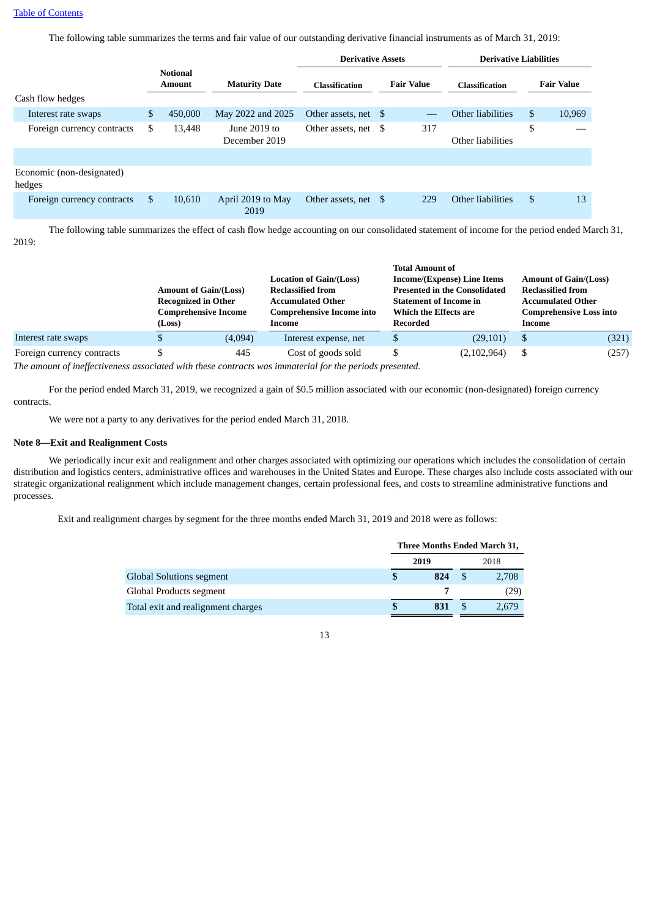The following table summarizes the terms and fair value of our outstanding derivative financial instruments as of March 31, 2019:

|                                     |                                  |                               | <b>Derivative Assets</b> |  | <b>Derivative Liabilities</b> |                       |                   |
|-------------------------------------|----------------------------------|-------------------------------|--------------------------|--|-------------------------------|-----------------------|-------------------|
| Cash flow hedges                    | <b>Notional</b><br><b>Amount</b> | <b>Maturity Date</b>          | <b>Classification</b>    |  | <b>Fair Value</b>             | <b>Classification</b> | <b>Fair Value</b> |
| Interest rate swaps                 | \$<br>450,000                    | May 2022 and 2025             | Other assets, net \$     |  |                               | Other liabilities     | \$<br>10,969      |
| Foreign currency contracts          | \$<br>13,448                     | June 2019 to<br>December 2019 | Other assets, net \$     |  | 317                           | Other liabilities     | \$                |
|                                     |                                  |                               |                          |  |                               |                       |                   |
| Economic (non-designated)<br>hedges |                                  |                               |                          |  |                               |                       |                   |
| Foreign currency contracts          | \$<br>10,610                     | April 2019 to May<br>2019     | Other assets, net \$     |  | 229                           | Other liabilities     | \$<br>13          |

The following table summarizes the effect of cash flow hedge accounting on our consolidated statement of income for the period ended March 31, 2019:

|                            |                            |                                                          |                                  |          | <b>Total Amount of</b>               |                                                            |       |  |
|----------------------------|----------------------------|----------------------------------------------------------|----------------------------------|----------|--------------------------------------|------------------------------------------------------------|-------|--|
|                            |                            |                                                          | <b>Location of Gain/(Loss)</b>   |          | Income/(Expense) Line Items          | <b>Amount of Gain/(Loss)</b>                               |       |  |
|                            |                            | <b>Amount of Gain/(Loss)</b><br><b>Reclassified from</b> |                                  |          | <b>Presented in the Consolidated</b> | <b>Reclassified from</b>                                   |       |  |
|                            | <b>Recognized in Other</b> |                                                          | <b>Accumulated Other</b>         |          | <b>Statement of Income in</b>        | <b>Accumulated Other</b><br><b>Comprehensive Loss into</b> |       |  |
|                            |                            | <b>Comprehensive Income</b>                              | <b>Comprehensive Income into</b> |          | Which the Effects are                |                                                            |       |  |
|                            | (Loss)                     |                                                          | Income                           | Recorded |                                      | Income                                                     |       |  |
| Interest rate swaps        |                            | (4,094)                                                  | Interest expense, net            |          | (29, 101)                            |                                                            | (321) |  |
| Foreign currency contracts |                            | 445                                                      | Cost of goods sold               |          | (2,102,964)                          |                                                            | (257) |  |

*The amount of ineffectiveness associated with these contracts was immaterial for the periods presented.*

For the period ended March 31, 2019, we recognized a gain of \$0.5 million associated with our economic (non-designated) foreign currency contracts.

We were not a party to any derivatives for the period ended March 31, 2018.

### **Note 8—Exit and Realignment Costs**

We periodically incur exit and realignment and other charges associated with optimizing our operations which includes the consolidation of certain distribution and logistics centers, administrative offices and warehouses in the United States and Europe. These charges also include costs associated with our strategic organizational realignment which include management changes, certain professional fees, and costs to streamline administrative functions and processes.

Exit and realignment charges by segment for the three months ended March 31, 2019 and 2018 were as follows:

|                                    | Three Months Ended March 31, |      |      |       |  |
|------------------------------------|------------------------------|------|------|-------|--|
|                                    |                              | 2019 | 2018 |       |  |
| <b>Global Solutions segment</b>    |                              | 824  |      | 2,708 |  |
| Global Products segment            |                              |      |      | (29)  |  |
| Total exit and realignment charges |                              | 831  |      | 2.679 |  |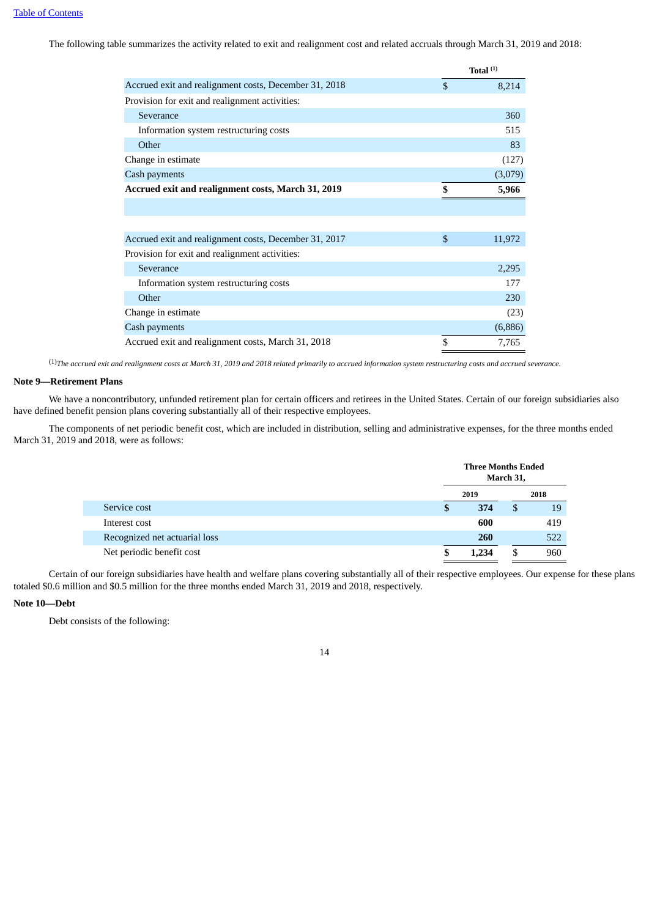The following table summarizes the activity related to exit and realignment cost and related accruals through March 31, 2019 and 2018:

|                                                       | Total <sup>(1)</sup> |
|-------------------------------------------------------|----------------------|
| Accrued exit and realignment costs, December 31, 2018 | \$<br>8,214          |
| Provision for exit and realignment activities:        |                      |
| Severance                                             | 360                  |
| Information system restructuring costs                | 515                  |
| Other                                                 | 83                   |
| Change in estimate                                    | (127)                |
| Cash payments                                         | (3,079)              |
| Accrued exit and realignment costs, March 31, 2019    | \$<br>5,966          |
|                                                       |                      |
|                                                       |                      |
| Accrued exit and realignment costs, December 31, 2017 | \$<br>11,972         |
| Provision for exit and realignment activities:        |                      |
| Severance                                             | 2,295                |
| Information system restructuring costs                | 177                  |
| Other                                                 | 230                  |
| Change in estimate                                    | (23)                 |
| Cash payments                                         | (6,886)              |
| Accrued exit and realignment costs, March 31, 2018    | \$<br>7,765          |

<sup>(1)</sup>The accrued exit and realignment costs at March 31, 2019 and 2018 related primarily to accrued information system restructuring costs and accrued severance.

### **Note 9—Retirement Plans**

We have a noncontributory, unfunded retirement plan for certain officers and retirees in the United States. Certain of our foreign subsidiaries also have defined benefit pension plans covering substantially all of their respective employees.

The components of net periodic benefit cost, which are included in distribution, selling and administrative expenses, for the three months ended March 31, 2019 and 2018, were as follows:

|                               |    | <b>Three Months Ended</b><br>March 31, |    |     |  |      |
|-------------------------------|----|----------------------------------------|----|-----|--|------|
|                               |    | 2019                                   |    |     |  | 2018 |
| Service cost                  | \$ | 374                                    | \$ | 19  |  |      |
| Interest cost                 |    | 600                                    |    | 419 |  |      |
| Recognized net actuarial loss |    | 260                                    |    | 522 |  |      |
| Net periodic benefit cost     | S  | 1.234                                  |    | 960 |  |      |

Certain of our foreign subsidiaries have health and welfare plans covering substantially all of their respective employees. Our expense for these plans totaled \$0.6 million and \$0.5 million for the three months ended March 31, 2019 and 2018, respectively.

### **Note 10—Debt**

Debt consists of the following: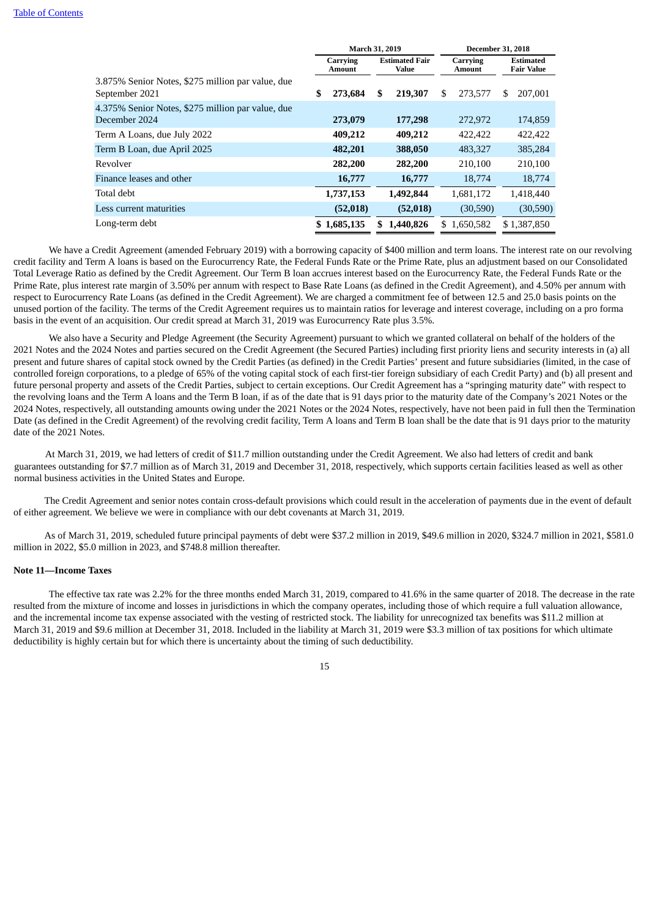|                    |  |                                                                                                       | <b>December 31, 2018</b>  |                    |                        |                                       |
|--------------------|--|-------------------------------------------------------------------------------------------------------|---------------------------|--------------------|------------------------|---------------------------------------|
| Carrying<br>Amount |  | <b>Estimated Fair</b><br>Value                                                                        |                           | Carrying<br>Amount |                        | <b>Estimated</b><br><b>Fair Value</b> |
| \$                 |  | 219,307                                                                                               | \$                        | 273,577            | \$.                    | 207,001                               |
|                    |  | 177,298                                                                                               |                           | 272,972            |                        | 174,859                               |
|                    |  | 409,212                                                                                               |                           | 422,422            |                        | 422,422                               |
|                    |  | 388,050                                                                                               |                           | 483,327            |                        | 385,284                               |
|                    |  | 282,200                                                                                               |                           | 210,100            |                        | 210,100                               |
|                    |  | 16,777                                                                                                |                           | 18,774             |                        | 18,774                                |
|                    |  | 1,492,844                                                                                             |                           |                    |                        | 1,418,440                             |
|                    |  | (52,018)                                                                                              |                           | (30, 590)          |                        | (30, 590)                             |
|                    |  | 1,440,826                                                                                             | \$.                       |                    |                        | \$1,387,850                           |
|                    |  | 273,684<br>273,079<br>409,212<br>482,201<br>282,200<br>16,777<br>1,737,153<br>(52,018)<br>\$1,685,135 | March 31, 2019<br>\$<br>S |                    | 1,681,172<br>1,650,582 |                                       |

We have a Credit Agreement (amended February 2019) with a borrowing capacity of \$400 million and term loans. The interest rate on our revolving credit facility and Term A loans is based on the Eurocurrency Rate, the Federal Funds Rate or the Prime Rate, plus an adjustment based on our Consolidated Total Leverage Ratio as defined by the Credit Agreement. Our Term B loan accrues interest based on the Eurocurrency Rate, the Federal Funds Rate or the Prime Rate, plus interest rate margin of 3.50% per annum with respect to Base Rate Loans (as defined in the Credit Agreement), and 4.50% per annum with respect to Eurocurrency Rate Loans (as defined in the Credit Agreement). We are charged a commitment fee of between 12.5 and 25.0 basis points on the unused portion of the facility. The terms of the Credit Agreement requires us to maintain ratios for leverage and interest coverage, including on a pro forma basis in the event of an acquisition. Our credit spread at March 31, 2019 was Eurocurrency Rate plus 3.5%.

We also have a Security and Pledge Agreement (the Security Agreement) pursuant to which we granted collateral on behalf of the holders of the 2021 Notes and the 2024 Notes and parties secured on the Credit Agreement (the Secured Parties) including first priority liens and security interests in (a) all present and future shares of capital stock owned by the Credit Parties (as defined) in the Credit Parties' present and future subsidiaries (limited, in the case of controlled foreign corporations, to a pledge of 65% of the voting capital stock of each first-tier foreign subsidiary of each Credit Party) and (b) all present and future personal property and assets of the Credit Parties, subject to certain exceptions. Our Credit Agreement has a "springing maturity date" with respect to the revolving loans and the Term A loans and the Term B loan, if as of the date that is 91 days prior to the maturity date of the Company's 2021 Notes or the 2024 Notes, respectively, all outstanding amounts owing under the 2021 Notes or the 2024 Notes, respectively, have not been paid in full then the Termination Date (as defined in the Credit Agreement) of the revolving credit facility, Term A loans and Term B loan shall be the date that is 91 days prior to the maturity date of the 2021 Notes.

At March 31, 2019, we had letters of credit of \$11.7 million outstanding under the Credit Agreement. We also had letters of credit and bank guarantees outstanding for \$7.7 million as of March 31, 2019 and December 31, 2018, respectively, which supports certain facilities leased as well as other normal business activities in the United States and Europe.

The Credit Agreement and senior notes contain cross-default provisions which could result in the acceleration of payments due in the event of default of either agreement. We believe we were in compliance with our debt covenants at March 31, 2019.

As of March 31, 2019, scheduled future principal payments of debt were \$37.2 million in 2019, \$49.6 million in 2020, \$324.7 million in 2021, \$581.0 million in 2022, \$5.0 million in 2023, and \$748.8 million thereafter.

### **Note 11—Income Taxes**

The effective tax rate was 2.2% for the three months ended March 31, 2019, compared to 41.6% in the same quarter of 2018. The decrease in the rate resulted from the mixture of income and losses in jurisdictions in which the company operates, including those of which require a full valuation allowance, and the incremental income tax expense associated with the vesting of restricted stock. The liability for unrecognized tax benefits was \$11.2 million at March 31, 2019 and \$9.6 million at December 31, 2018. Included in the liability at March 31, 2019 were \$3.3 million of tax positions for which ultimate deductibility is highly certain but for which there is uncertainty about the timing of such deductibility.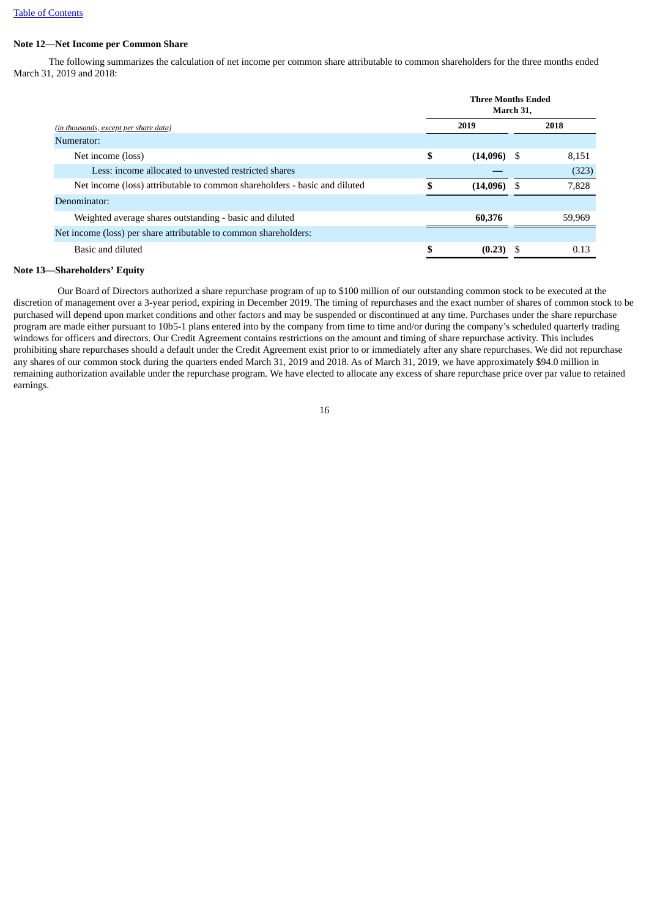# **Note 12—Net Income per Common Share**

The following summarizes the calculation of net income per common share attributable to common shareholders for the three months ended March 31, 2019 and 2018:

|                                                                           | <b>Three Months Ended</b><br>March 31, |               |     |        |  |  |
|---------------------------------------------------------------------------|----------------------------------------|---------------|-----|--------|--|--|
| (in thousands, except per share data)                                     | 2019                                   |               |     | 2018   |  |  |
| Numerator:                                                                |                                        |               |     |        |  |  |
| Net income (loss)                                                         | \$                                     | $(14,096)$ \$ |     | 8.151  |  |  |
| Less: income allocated to unvested restricted shares                      |                                        |               |     | (323)  |  |  |
| Net income (loss) attributable to common shareholders - basic and diluted |                                        | (14,096)      | - S | 7,828  |  |  |
| Denominator:                                                              |                                        |               |     |        |  |  |
| Weighted average shares outstanding - basic and diluted                   |                                        | 60,376        |     | 59.969 |  |  |
| Net income (loss) per share attributable to common shareholders:          |                                        |               |     |        |  |  |
| Basic and diluted                                                         |                                        | (0.23)        | -S  | 0.13   |  |  |

# **Note 13—Shareholders' Equity**

Our Board of Directors authorized a share repurchase program of up to \$100 million of our outstanding common stock to be executed at the discretion of management over a 3-year period, expiring in December 2019. The timing of repurchases and the exact number of shares of common stock to be purchased will depend upon market conditions and other factors and may be suspended or discontinued at any time. Purchases under the share repurchase program are made either pursuant to 10b5-1 plans entered into by the company from time to time and/or during the company's scheduled quarterly trading windows for officers and directors. Our Credit Agreement contains restrictions on the amount and timing of share repurchase activity. This includes prohibiting share repurchases should a default under the Credit Agreement exist prior to or immediately after any share repurchases. We did not repurchase any shares of our common stock during the quarters ended March 31, 2019 and 2018. As of March 31, 2019, we have approximately \$94.0 million in remaining authorization available under the repurchase program. We have elected to allocate any excess of share repurchase price over par value to retained earnings.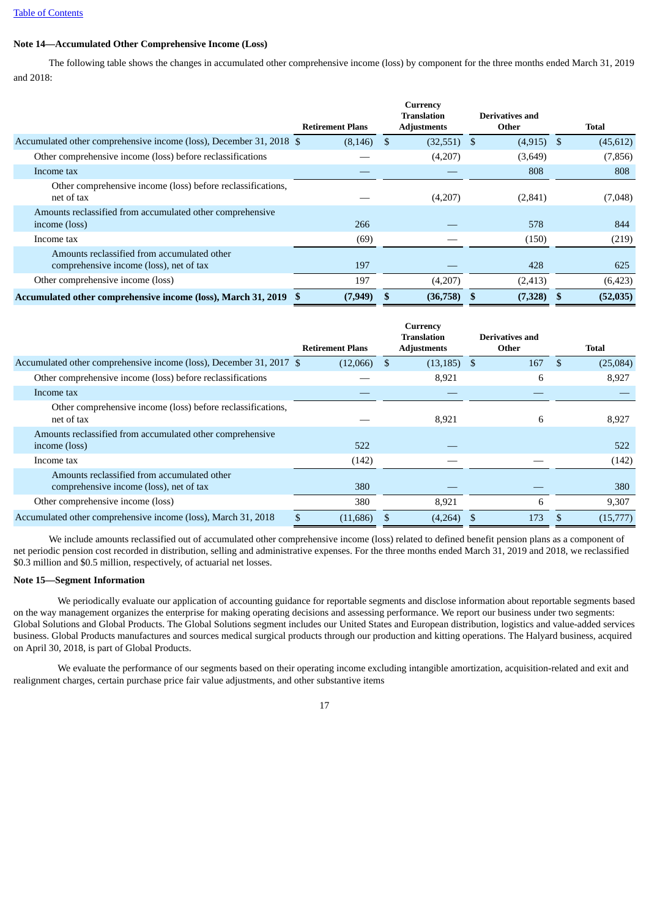# **Note 14—Accumulated Other Comprehensive Income (Loss)**

The following table shows the changes in accumulated other comprehensive income (loss) by component for the three months ended March 31, 2019 and 2018:

|                                                                                        |                         | Currency<br><b>Translation</b> | <b>Derivatives and</b> |              |
|----------------------------------------------------------------------------------------|-------------------------|--------------------------------|------------------------|--------------|
|                                                                                        | <b>Retirement Plans</b> | <b>Adjustments</b>             | Other                  | <b>Total</b> |
| Accumulated other comprehensive income (loss), December 31, 2018 \$                    | $(8,146)$ \$            | (32,551)                       | $(4,915)$ \$<br>-S     | (45, 612)    |
| Other comprehensive income (loss) before reclassifications                             |                         | (4,207)                        | (3,649)                | (7,856)      |
| Income tax                                                                             |                         |                                | 808                    | 808          |
| Other comprehensive income (loss) before reclassifications,<br>net of tax              |                         | (4,207)                        | (2, 841)               | (7,048)      |
| Amounts reclassified from accumulated other comprehensive                              |                         |                                |                        |              |
| income (loss)                                                                          | 266                     |                                | 578                    | 844          |
| Income tax                                                                             | (69)                    |                                | (150)                  | (219)        |
| Amounts reclassified from accumulated other<br>comprehensive income (loss), net of tax | 197                     |                                | 428                    | 625          |
| Other comprehensive income (loss)                                                      | 197                     | (4,207)                        | (2, 413)               | (6, 423)     |
| Accumulated other comprehensive income (loss), March 31, 2019                          | (7, 949)                | (36,758)                       | (7,328)                | (52,035)     |

|                                                                                        |                         | Currency<br><b>Translation</b> | Derivatives and |                           |
|----------------------------------------------------------------------------------------|-------------------------|--------------------------------|-----------------|---------------------------|
|                                                                                        | <b>Retirement Plans</b> | <b>Adjustments</b>             | Other           | <b>Total</b>              |
| Accumulated other comprehensive income (loss), December 31, 2017 \$                    | $(12,066)$ \$           | $(13, 185)$ \$                 | 167             | <sup>\$</sup><br>(25,084) |
| Other comprehensive income (loss) before reclassifications                             |                         | 8,921                          | 6               | 8,927                     |
| Income tax                                                                             |                         |                                |                 |                           |
| Other comprehensive income (loss) before reclassifications,<br>net of tax              |                         | 8,921                          | 6               | 8,927                     |
| Amounts reclassified from accumulated other comprehensive<br>income (loss)             | 522                     |                                |                 | 522                       |
| Income tax                                                                             | (142)                   |                                |                 | (142)                     |
| Amounts reclassified from accumulated other<br>comprehensive income (loss), net of tax | 380                     |                                |                 | 380                       |
| Other comprehensive income (loss)                                                      | 380                     | 8,921                          | 6               | 9,307                     |
| Accumulated other comprehensive income (loss), March 31, 2018                          | (11,686)                | (4,264)                        | 173             | (15,777)                  |

We include amounts reclassified out of accumulated other comprehensive income (loss) related to defined benefit pension plans as a component of net periodic pension cost recorded in distribution, selling and administrative expenses. For the three months ended March 31, 2019 and 2018, we reclassified \$0.3 million and \$0.5 million, respectively, of actuarial net losses.

### **Note 15—Segment Information**

We periodically evaluate our application of accounting guidance for reportable segments and disclose information about reportable segments based on the way management organizes the enterprise for making operating decisions and assessing performance. We report our business under two segments: Global Solutions and Global Products. The Global Solutions segment includes our United States and European distribution, logistics and value-added services business. Global Products manufactures and sources medical surgical products through our production and kitting operations. The Halyard business, acquired on April 30, 2018, is part of Global Products.

We evaluate the performance of our segments based on their operating income excluding intangible amortization, acquisition-related and exit and realignment charges, certain purchase price fair value adjustments, and other substantive items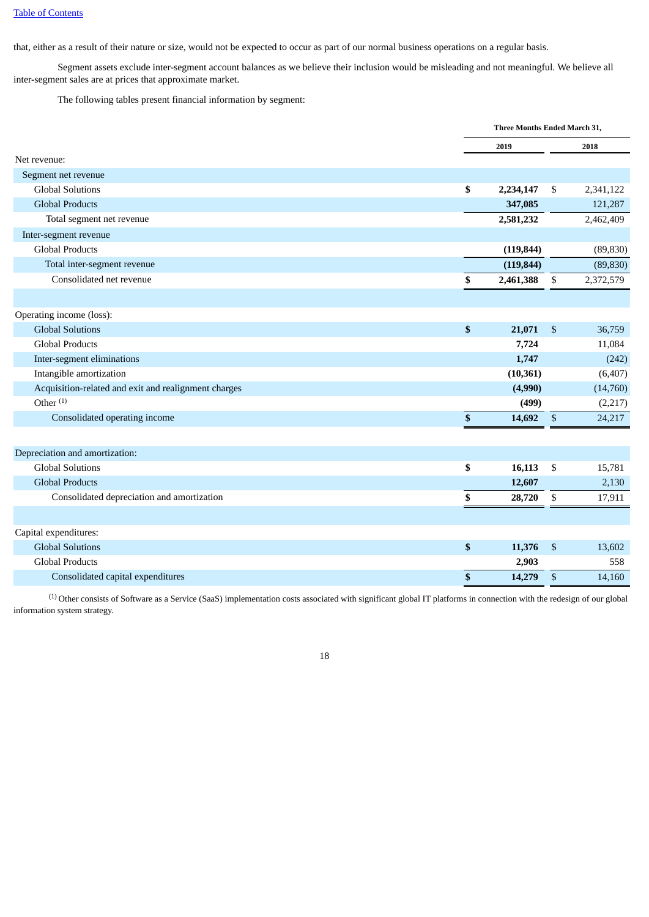that, either as a result of their nature or size, would not be expected to occur as part of our normal business operations on a regular basis.

Segment assets exclude inter-segment account balances as we believe their inclusion would be misleading and not meaningful. We believe all inter-segment sales are at prices that approximate market.

The following tables present financial information by segment:

|                                                      |    | Three Months Ended March 31, |                           |           |
|------------------------------------------------------|----|------------------------------|---------------------------|-----------|
|                                                      |    | 2019                         |                           | 2018      |
| Net revenue:                                         |    |                              |                           |           |
| Segment net revenue                                  |    |                              |                           |           |
| <b>Global Solutions</b>                              | \$ | 2,234,147                    | \$                        | 2,341,122 |
| <b>Global Products</b>                               |    | 347,085                      |                           | 121,287   |
| Total segment net revenue                            |    | 2,581,232                    |                           | 2,462,409 |
| Inter-segment revenue                                |    |                              |                           |           |
| <b>Global Products</b>                               |    | (119, 844)                   |                           | (89, 830) |
| Total inter-segment revenue                          |    | (119, 844)                   |                           | (89, 830) |
| Consolidated net revenue                             | \$ | 2,461,388                    | \$                        | 2,372,579 |
|                                                      |    |                              |                           |           |
| Operating income (loss):                             |    |                              |                           |           |
| <b>Global Solutions</b>                              | \$ | 21,071                       | \$                        | 36,759    |
| <b>Global Products</b>                               |    | 7,724                        |                           | 11,084    |
| Inter-segment eliminations                           |    | 1,747                        |                           | (242)     |
| Intangible amortization                              |    | (10, 361)                    |                           | (6, 407)  |
| Acquisition-related and exit and realignment charges |    | (4,990)                      |                           | (14,760)  |
| Other $(1)$                                          |    | (499)                        |                           | (2,217)   |
| Consolidated operating income                        | \$ | 14,692                       | \$                        | 24,217    |
|                                                      |    |                              |                           |           |
| Depreciation and amortization:                       |    |                              |                           |           |
| <b>Global Solutions</b>                              | \$ | 16,113                       | \$                        | 15,781    |
| <b>Global Products</b>                               |    | 12,607                       |                           | 2,130     |
| Consolidated depreciation and amortization           | \$ | 28,720                       | \$                        | 17,911    |
|                                                      |    |                              |                           |           |
| Capital expenditures:                                |    |                              |                           |           |
| <b>Global Solutions</b>                              | \$ | 11,376                       | \$                        | 13,602    |
| <b>Global Products</b>                               |    | 2,903                        |                           | 558       |
| Consolidated capital expenditures                    | \$ | 14,279                       | $\boldsymbol{\mathsf{S}}$ | 14,160    |

(1) Other consists of Software as a Service (SaaS) implementation costs associated with significant global IT platforms in connection with the redesign of our global information system strategy.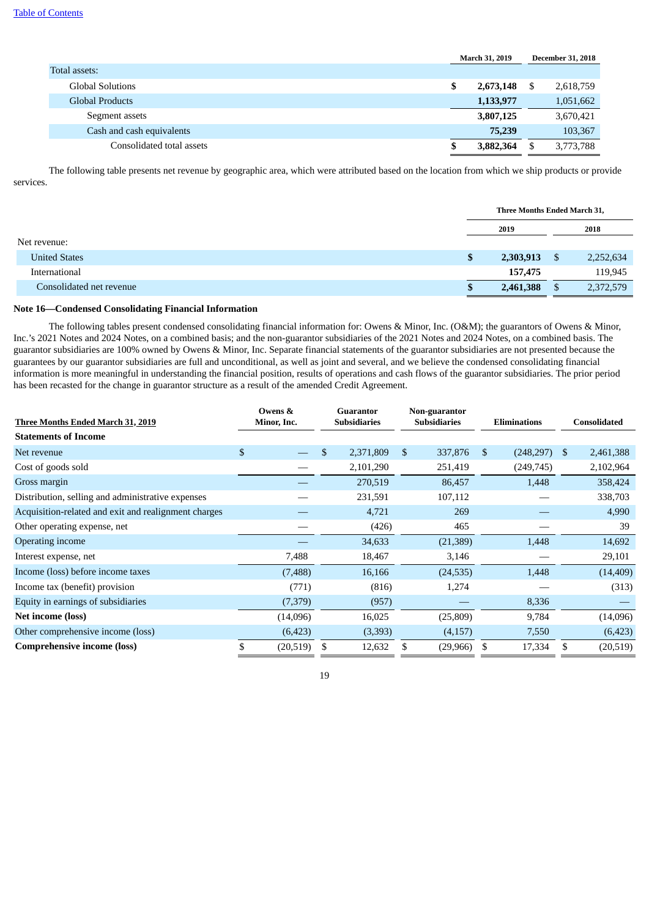|                           |   | <b>March 31, 2019</b> |   | <b>December 31, 2018</b> |
|---------------------------|---|-----------------------|---|--------------------------|
| Total assets:             |   |                       |   |                          |
| <b>Global Solutions</b>   | S | 2,673,148             | S | 2,618,759                |
| Global Products           |   | 1,133,977             |   | 1,051,662                |
| Segment assets            |   | 3,807,125             |   | 3,670,421                |
| Cash and cash equivalents |   | 75,239                |   | 103,367                  |
| Consolidated total assets |   | 3,882,364             |   | 3,773,788                |

The following table presents net revenue by geographic area, which were attributed based on the location from which we ship products or provide services.

|                          | Three Months Ended March 31, |                 |
|--------------------------|------------------------------|-----------------|
|                          | 2019                         | 2018            |
| Net revenue:             |                              |                 |
| <b>United States</b>     | \$<br>2,303,913              | \$<br>2,252,634 |
| International            | 157,475                      | 119,945         |
| Consolidated net revenue | 2,461,388                    | 2,372,579       |

### **Note 16—Condensed Consolidating Financial Information**

The following tables present condensed consolidating financial information for: Owens & Minor, Inc. (O&M); the guarantors of Owens & Minor, Inc.'s 2021 Notes and 2024 Notes, on a combined basis; and the non-guarantor subsidiaries of the 2021 Notes and 2024 Notes, on a combined basis. The guarantor subsidiaries are 100% owned by Owens & Minor, Inc. Separate financial statements of the guarantor subsidiaries are not presented because the guarantees by our guarantor subsidiaries are full and unconditional, as well as joint and several, and we believe the condensed consolidating financial information is more meaningful in understanding the financial position, results of operations and cash flows of the guarantor subsidiaries. The prior period has been recasted for the change in guarantor structure as a result of the amended Credit Agreement.

|                                                      |    | Owens &     | Guarantor |                     | Non-guarantor |                     |               |                     |    |                     |  |
|------------------------------------------------------|----|-------------|-----------|---------------------|---------------|---------------------|---------------|---------------------|----|---------------------|--|
| Three Months Ended March 31, 2019                    |    | Minor, Inc. |           | <b>Subsidiaries</b> |               | <b>Subsidiaries</b> |               | <b>Eliminations</b> |    | <b>Consolidated</b> |  |
| <b>Statements of Income</b>                          |    |             |           |                     |               |                     |               |                     |    |                     |  |
| Net revenue                                          | \$ |             | \$        | 2,371,809           | \$            | 337,876             | <sup>\$</sup> | (248, 297)          | \$ | 2,461,388           |  |
| Cost of goods sold                                   |    |             |           | 2,101,290           |               | 251,419             |               | (249, 745)          |    | 2,102,964           |  |
| Gross margin                                         |    |             |           | 270,519             |               | 86,457              |               | 1,448               |    | 358,424             |  |
| Distribution, selling and administrative expenses    |    |             |           | 231,591             |               | 107,112             |               |                     |    | 338,703             |  |
| Acquisition-related and exit and realignment charges |    |             |           | 4,721               |               | 269                 |               |                     |    | 4,990               |  |
| Other operating expense, net                         |    |             |           | (426)               |               | 465                 |               |                     |    | 39                  |  |
| Operating income                                     |    |             |           | 34,633              |               | (21, 389)           |               | 1,448               |    | 14,692              |  |
| Interest expense, net                                |    | 7,488       |           | 18,467              |               | 3,146               |               |                     |    | 29,101              |  |
| Income (loss) before income taxes                    |    | (7,488)     |           | 16,166              |               | (24, 535)           |               | 1,448               |    | (14, 409)           |  |
| Income tax (benefit) provision                       |    | (771)       |           | (816)               |               | 1,274               |               |                     |    | (313)               |  |
| Equity in earnings of subsidiaries                   |    | (7,379)     |           | (957)               |               |                     |               | 8,336               |    |                     |  |
| Net income (loss)                                    |    | (14,096)    |           | 16,025              |               | (25,809)            |               | 9,784               |    | (14,096)            |  |
| Other comprehensive income (loss)                    |    | (6, 423)    |           | (3,393)             |               | (4,157)             |               | 7,550               |    | (6,423)             |  |
| <b>Comprehensive income (loss)</b>                   | S  | (20,519)    | \$        | 12,632              |               | (29, 966)           |               | 17,334              | S  | (20, 519)           |  |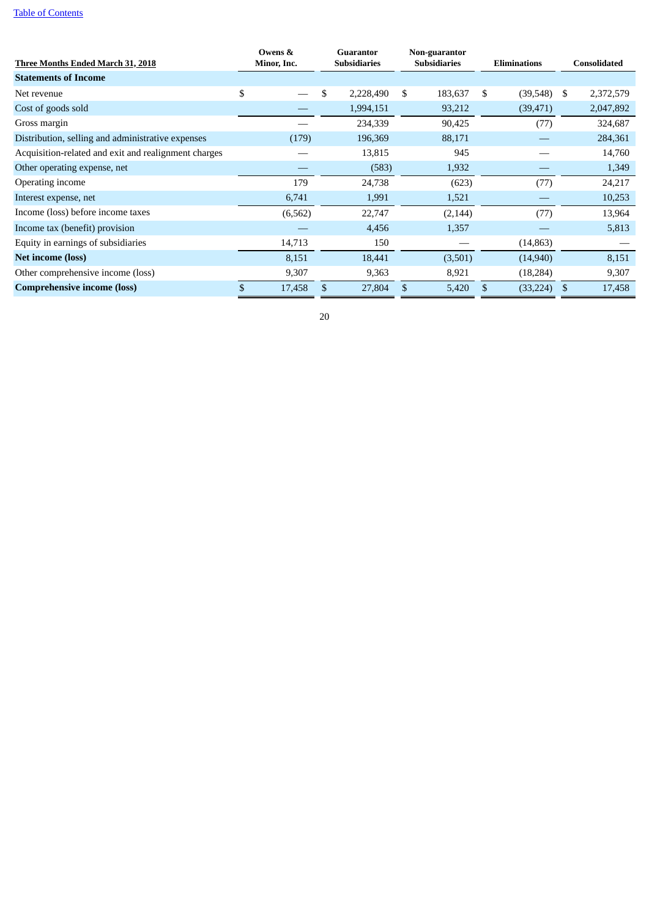|                                                      | Owens &      | Guarantor<br><b>Subsidiaries</b> |           | Non-guarantor |                     | <b>Eliminations</b> |           |              |           |
|------------------------------------------------------|--------------|----------------------------------|-----------|---------------|---------------------|---------------------|-----------|--------------|-----------|
| <u>Three Months Ended March 31, 2018</u>             | Minor, Inc.  |                                  |           |               | <b>Subsidiaries</b> |                     |           | Consolidated |           |
| <b>Statements of Income</b>                          |              |                                  |           |               |                     |                     |           |              |           |
| Net revenue                                          | \$           | \$                               | 2,228,490 | \$            | 183,637             | \$                  | (39,548)  | S            | 2,372,579 |
| Cost of goods sold                                   |              |                                  | 1,994,151 |               | 93,212              |                     | (39, 471) |              | 2,047,892 |
| Gross margin                                         |              |                                  | 234,339   |               | 90,425              |                     | (77)      |              | 324,687   |
| Distribution, selling and administrative expenses    | (179)        |                                  | 196,369   |               | 88,171              |                     |           |              | 284,361   |
| Acquisition-related and exit and realignment charges |              |                                  | 13,815    |               | 945                 |                     |           |              | 14,760    |
| Other operating expense, net                         |              |                                  | (583)     |               | 1,932               |                     |           |              | 1,349     |
| Operating income                                     | 179          |                                  | 24,738    |               | (623)               |                     | (77)      |              | 24,217    |
| Interest expense, net                                | 6,741        |                                  | 1,991     |               | 1,521               |                     |           |              | 10,253    |
| Income (loss) before income taxes                    | (6, 562)     |                                  | 22,747    |               | (2, 144)            |                     | (77)      |              | 13,964    |
| Income tax (benefit) provision                       |              |                                  | 4,456     |               | 1,357               |                     |           |              | 5,813     |
| Equity in earnings of subsidiaries                   | 14,713       |                                  | 150       |               |                     |                     | (14, 863) |              |           |
| <b>Net income (loss)</b>                             | 8,151        |                                  | 18,441    |               | (3,501)             |                     | (14,940)  |              | 8,151     |
| Other comprehensive income (loss)                    | 9,307        |                                  | 9,363     |               | 8,921               |                     | (18, 284) |              | 9,307     |
| <b>Comprehensive income (loss)</b>                   | \$<br>17,458 | \$                               | 27,804    | \$            | 5,420               | \$                  | (33, 224) | \$.          | 17,458    |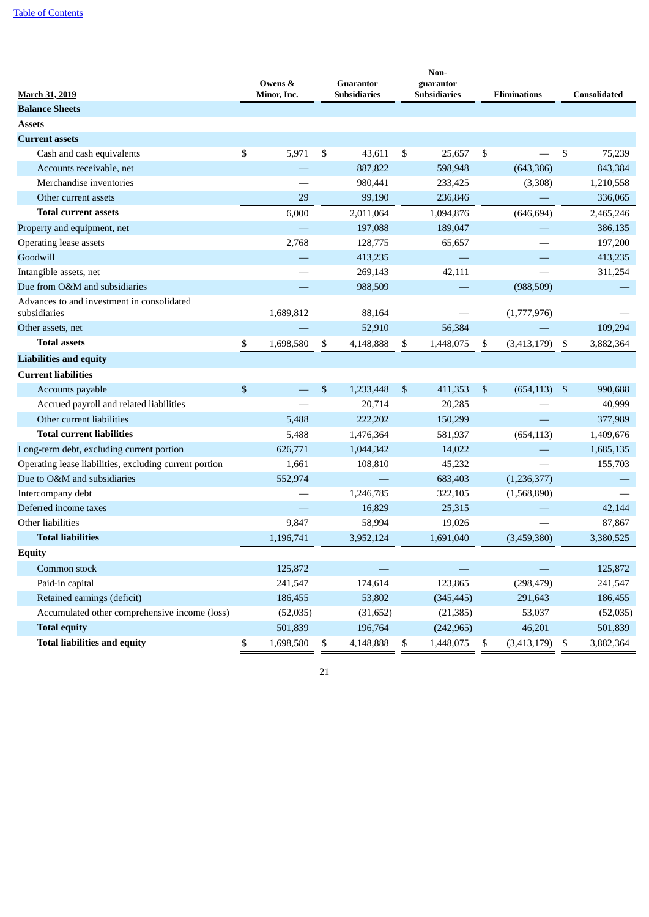| <b>March 31, 2019</b>                                      | Owens &<br>Minor, Inc. | Non-<br><b>Guarantor</b><br>guarantor<br>Subsidiaries<br><b>Subsidiaries</b> |           |                 | <b>Eliminations</b> |             | <b>Consolidated</b> |           |
|------------------------------------------------------------|------------------------|------------------------------------------------------------------------------|-----------|-----------------|---------------------|-------------|---------------------|-----------|
| <b>Balance Sheets</b>                                      |                        |                                                                              |           |                 |                     |             |                     |           |
| <b>Assets</b>                                              |                        |                                                                              |           |                 |                     |             |                     |           |
| <b>Current assets</b>                                      |                        |                                                                              |           |                 |                     |             |                     |           |
| Cash and cash equivalents                                  | \$<br>5,971            | \$                                                                           | 43,611    | \$<br>25,657    | \$                  |             | \$                  | 75,239    |
| Accounts receivable, net                                   |                        |                                                                              | 887,822   | 598,948         |                     | (643, 386)  |                     | 843,384   |
| Merchandise inventories                                    |                        |                                                                              | 980,441   | 233,425         |                     | (3,308)     |                     | 1,210,558 |
| Other current assets                                       | 29                     |                                                                              | 99,190    | 236,846         |                     |             |                     | 336,065   |
| <b>Total current assets</b>                                | 6,000                  |                                                                              | 2,011,064 | 1,094,876       |                     | (646, 694)  |                     | 2,465,246 |
| Property and equipment, net                                |                        |                                                                              | 197,088   | 189,047         |                     |             |                     | 386,135   |
| Operating lease assets                                     | 2,768                  |                                                                              | 128,775   | 65,657          |                     |             |                     | 197,200   |
| Goodwill                                                   |                        |                                                                              | 413,235   |                 |                     |             |                     | 413,235   |
| Intangible assets, net                                     |                        |                                                                              | 269,143   | 42,111          |                     |             |                     | 311,254   |
| Due from O&M and subsidiaries                              |                        |                                                                              | 988,509   |                 |                     | (988, 509)  |                     |           |
| Advances to and investment in consolidated<br>subsidiaries | 1,689,812              |                                                                              | 88,164    |                 |                     | (1,777,976) |                     |           |
| Other assets, net                                          |                        |                                                                              | 52,910    | 56,384          |                     |             |                     | 109,294   |
| <b>Total assets</b>                                        | \$<br>1,698,580        | \$                                                                           | 4,148,888 | \$<br>1,448,075 | \$                  | (3,413,179) | \$                  | 3,882,364 |
| <b>Liabilities and equity</b>                              |                        |                                                                              |           |                 |                     |             |                     |           |
| <b>Current liabilities</b>                                 |                        |                                                                              |           |                 |                     |             |                     |           |
| Accounts payable                                           | \$                     | \$                                                                           | 1,233,448 | \$<br>411,353   | <sup>\$</sup>       | (654, 113)  | \$                  | 990,688   |
| Accrued payroll and related liabilities                    |                        |                                                                              | 20,714    | 20,285          |                     |             |                     | 40,999    |
| Other current liabilities                                  | 5,488                  |                                                                              | 222,202   | 150,299         |                     |             |                     | 377,989   |
| <b>Total current liabilities</b>                           | 5,488                  |                                                                              | 1,476,364 | 581,937         |                     | (654, 113)  |                     | 1,409,676 |
| Long-term debt, excluding current portion                  | 626,771                |                                                                              | 1,044,342 | 14,022          |                     |             |                     | 1,685,135 |
| Operating lease liabilities, excluding current portion     | 1,661                  |                                                                              | 108,810   | 45,232          |                     |             |                     | 155,703   |
| Due to O&M and subsidiaries                                | 552,974                |                                                                              |           | 683,403         |                     | (1,236,377) |                     |           |
| Intercompany debt                                          |                        |                                                                              | 1,246,785 | 322,105         |                     | (1,568,890) |                     |           |
| Deferred income taxes                                      |                        |                                                                              | 16,829    | 25,315          |                     |             |                     | 42,144    |
| Other liabilities                                          | 9,847                  |                                                                              | 58,994    | 19,026          |                     |             |                     | 87,867    |
| <b>Total liabilities</b>                                   | 1,196,741              |                                                                              | 3,952,124 | 1,691,040       |                     | (3,459,380) |                     | 3,380,525 |
| <b>Equity</b>                                              |                        |                                                                              |           |                 |                     |             |                     |           |
| Common stock                                               | 125,872                |                                                                              |           |                 |                     |             |                     | 125,872   |
| Paid-in capital                                            | 241,547                |                                                                              | 174,614   | 123,865         |                     | (298, 479)  |                     | 241,547   |
| Retained earnings (deficit)                                | 186,455                |                                                                              | 53,802    | (345, 445)      |                     | 291,643     |                     | 186,455   |
| Accumulated other comprehensive income (loss)              | (52,035)               |                                                                              | (31, 652) | (21, 385)       |                     | 53,037      |                     | (52,035)  |
| <b>Total equity</b>                                        | 501,839                |                                                                              | 196,764   | (242, 965)      |                     | 46,201      |                     | 501,839   |
| <b>Total liabilities and equity</b>                        | \$<br>1,698,580        | \$                                                                           | 4,148,888 | \$<br>1,448,075 | \$                  | (3,413,179) | \$                  | 3,882,364 |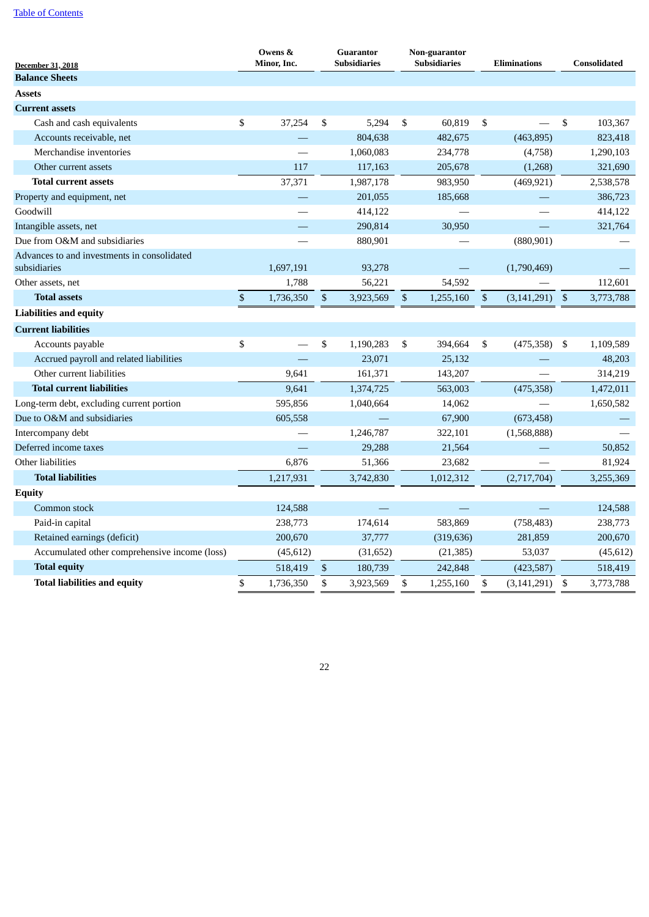| <b>December 31, 2018</b>                                    | Owens &<br>Minor, Inc. | <b>Guarantor</b><br><b>Subsidiaries</b> |           | Non-guarantor<br><b>Subsidiaries</b> | <b>Eliminations</b>       |               | <b>Consolidated</b> |
|-------------------------------------------------------------|------------------------|-----------------------------------------|-----------|--------------------------------------|---------------------------|---------------|---------------------|
| <b>Balance Sheets</b>                                       |                        |                                         |           |                                      |                           |               |                     |
| <b>Assets</b>                                               |                        |                                         |           |                                      |                           |               |                     |
| <b>Current assets</b>                                       |                        |                                         |           |                                      |                           |               |                     |
| Cash and cash equivalents                                   | \$<br>37,254           | \$                                      | 5,294     | \$<br>60,819                         | \$                        |               | \$<br>103,367       |
| Accounts receivable, net                                    |                        |                                         | 804,638   | 482,675                              |                           | (463, 895)    | 823,418             |
| Merchandise inventories                                     |                        |                                         | 1,060,083 | 234,778                              |                           | (4,758)       | 1,290,103           |
| Other current assets                                        | 117                    |                                         | 117,163   | 205,678                              |                           | (1,268)       | 321,690             |
| <b>Total current assets</b>                                 | 37,371                 |                                         | 1,987,178 | 983,950                              |                           | (469, 921)    | 2,538,578           |
| Property and equipment, net                                 |                        |                                         | 201,055   | 185,668                              |                           |               | 386,723             |
| Goodwill                                                    |                        |                                         | 414,122   |                                      |                           |               | 414,122             |
| Intangible assets, net                                      |                        |                                         | 290,814   | 30,950                               |                           |               | 321,764             |
| Due from O&M and subsidiaries                               |                        |                                         | 880,901   |                                      |                           | (880, 901)    |                     |
| Advances to and investments in consolidated<br>subsidiaries | 1,697,191              |                                         | 93,278    |                                      |                           | (1,790,469)   |                     |
| Other assets, net                                           | 1,788                  |                                         | 56,221    | 54,592                               |                           |               | 112,601             |
| <b>Total assets</b>                                         | \$<br>1,736,350        | \$                                      | 3,923,569 | \$<br>1,255,160                      | $\boldsymbol{\mathsf{S}}$ | (3, 141, 291) | \$<br>3,773,788     |
| <b>Liabilities and equity</b>                               |                        |                                         |           |                                      |                           |               |                     |
| <b>Current liabilities</b>                                  |                        |                                         |           |                                      |                           |               |                     |
| Accounts payable                                            | \$                     | \$                                      | 1,190,283 | \$<br>394,664                        | \$                        | (475, 358)    | \$<br>1,109,589     |
| Accrued payroll and related liabilities                     |                        |                                         | 23,071    | 25,132                               |                           |               | 48,203              |
| Other current liabilities                                   | 9,641                  |                                         | 161,371   | 143,207                              |                           |               | 314,219             |
| <b>Total current liabilities</b>                            | 9,641                  |                                         | 1,374,725 | 563,003                              |                           | (475, 358)    | 1,472,011           |
| Long-term debt, excluding current portion                   | 595,856                |                                         | 1,040,664 | 14,062                               |                           |               | 1,650,582           |
| Due to O&M and subsidiaries                                 | 605,558                |                                         |           | 67,900                               |                           | (673, 458)    |                     |
| Intercompany debt                                           |                        |                                         | 1,246,787 | 322,101                              |                           | (1,568,888)   |                     |
| Deferred income taxes                                       |                        |                                         | 29,288    | 21,564                               |                           |               | 50,852              |
| Other liabilities                                           | 6,876                  |                                         | 51,366    | 23,682                               |                           |               | 81,924              |
| <b>Total liabilities</b>                                    | 1,217,931              |                                         | 3,742,830 | 1,012,312                            |                           | (2,717,704)   | 3,255,369           |
| <b>Equity</b>                                               |                        |                                         |           |                                      |                           |               |                     |
| Common stock                                                | 124,588                |                                         |           |                                      |                           |               | 124,588             |
| Paid-in capital                                             | 238,773                |                                         | 174,614   | 583,869                              |                           | (758, 483)    | 238,773             |
| Retained earnings (deficit)                                 | 200,670                |                                         | 37,777    | (319, 636)                           |                           | 281,859       | 200,670             |
| Accumulated other comprehensive income (loss)               | (45, 612)              |                                         | (31, 652) | (21, 385)                            |                           | 53,037        | (45, 612)           |
| <b>Total equity</b>                                         | 518,419                | $\mathbb{S}$                            | 180,739   | 242,848                              |                           | (423, 587)    | 518,419             |
| <b>Total liabilities and equity</b>                         | \$<br>1,736,350        | \$                                      | 3,923,569 | \$<br>1,255,160                      | \$                        | (3, 141, 291) | \$<br>3,773,788     |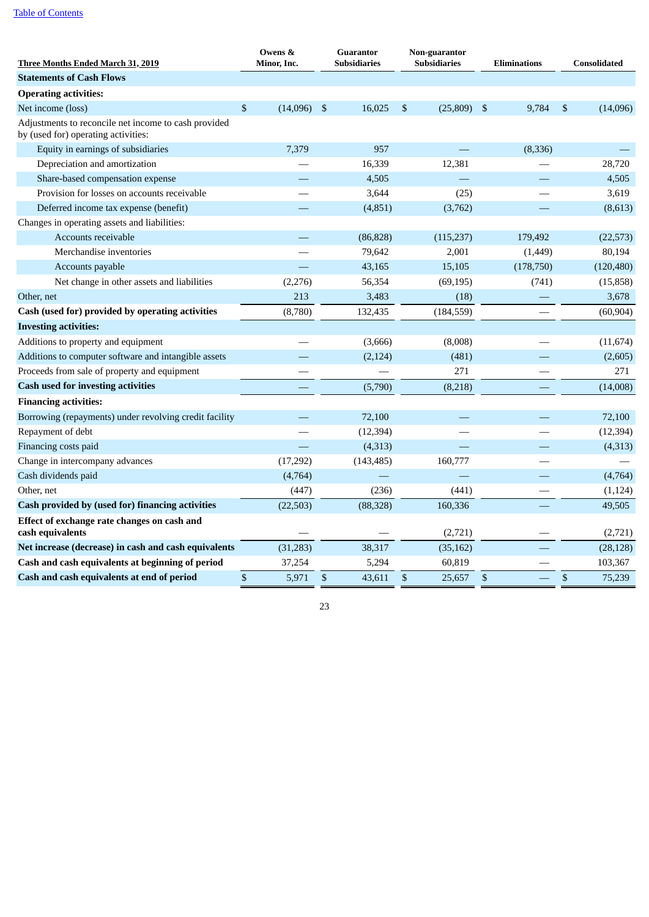| <b>Three Months Ended March 31, 2019</b>                                                    | Owens &<br>Minor, Inc. |              | <b>Guarantor</b><br><b>Subsidiaries</b> |                           | Non-guarantor<br><b>Subsidiaries</b> |      | <b>Eliminations</b> |      | Consolidated |
|---------------------------------------------------------------------------------------------|------------------------|--------------|-----------------------------------------|---------------------------|--------------------------------------|------|---------------------|------|--------------|
| <b>Statements of Cash Flows</b>                                                             |                        |              |                                         |                           |                                      |      |                     |      |              |
| <b>Operating activities:</b>                                                                |                        |              |                                         |                           |                                      |      |                     |      |              |
| Net income (loss)                                                                           | \$<br>(14,096)         | -\$          | 16,025                                  | $\mathfrak{s}$            | (25,809)                             | - \$ | 9,784               | \$   | (14,096)     |
| Adjustments to reconcile net income to cash provided<br>by (used for) operating activities: |                        |              |                                         |                           |                                      |      |                     |      |              |
| Equity in earnings of subsidiaries                                                          | 7,379                  |              | 957                                     |                           |                                      |      | (8, 336)            |      |              |
| Depreciation and amortization                                                               |                        |              | 16,339                                  |                           | 12,381                               |      |                     |      | 28,720       |
| Share-based compensation expense                                                            |                        |              | 4,505                                   |                           |                                      |      |                     |      | 4,505        |
| Provision for losses on accounts receivable                                                 |                        |              | 3,644                                   |                           | (25)                                 |      |                     |      | 3,619        |
| Deferred income tax expense (benefit)                                                       |                        |              | (4,851)                                 |                           | (3,762)                              |      |                     |      | (8,613)      |
| Changes in operating assets and liabilities:                                                |                        |              |                                         |                           |                                      |      |                     |      |              |
| Accounts receivable                                                                         |                        |              | (86, 828)                               |                           | (115, 237)                           |      | 179,492             |      | (22, 573)    |
| Merchandise inventories                                                                     |                        |              | 79,642                                  |                           | 2,001                                |      | (1,449)             |      | 80,194       |
| Accounts payable                                                                            |                        |              | 43,165                                  |                           | 15,105                               |      | (178, 750)          |      | (120, 480)   |
| Net change in other assets and liabilities                                                  | (2,276)                |              | 56,354                                  |                           | (69, 195)                            |      | (741)               |      | (15, 858)    |
| Other, net                                                                                  | 213                    |              | 3,483                                   |                           | (18)                                 |      |                     |      | 3,678        |
| Cash (used for) provided by operating activities                                            | (8,780)                |              | 132,435                                 |                           | (184, 559)                           |      |                     |      | (60, 904)    |
| <b>Investing activities:</b>                                                                |                        |              |                                         |                           |                                      |      |                     |      |              |
| Additions to property and equipment                                                         |                        |              | (3,666)                                 |                           | (8,008)                              |      |                     |      | (11, 674)    |
| Additions to computer software and intangible assets                                        |                        |              | (2, 124)                                |                           | (481)                                |      |                     |      | (2,605)      |
| Proceeds from sale of property and equipment                                                |                        |              |                                         |                           | 271                                  |      |                     |      | 271          |
| <b>Cash used for investing activities</b>                                                   |                        |              | (5,790)                                 |                           | (8,218)                              |      |                     |      | (14,008)     |
| <b>Financing activities:</b>                                                                |                        |              |                                         |                           |                                      |      |                     |      |              |
| Borrowing (repayments) under revolving credit facility                                      |                        |              | 72,100                                  |                           |                                      |      |                     |      | 72,100       |
| Repayment of debt                                                                           |                        |              | (12, 394)                               |                           |                                      |      |                     |      | (12, 394)    |
| Financing costs paid                                                                        |                        |              | (4,313)                                 |                           |                                      |      |                     |      | (4,313)      |
| Change in intercompany advances                                                             | (17, 292)              |              | (143, 485)                              |                           | 160,777                              |      |                     |      |              |
| Cash dividends paid                                                                         | (4,764)                |              |                                         |                           |                                      |      |                     |      | (4,764)      |
| Other, net                                                                                  | (447)                  |              | (236)                                   |                           | (441)                                |      |                     |      | (1, 124)     |
| Cash provided by (used for) financing activities                                            | (22, 503)              |              | (88, 328)                               |                           | 160,336                              |      |                     |      | 49,505       |
| Effect of exchange rate changes on cash and<br>cash equivalents                             |                        |              |                                         |                           | (2,721)                              |      |                     |      | (2,721)      |
| Net increase (decrease) in cash and cash equivalents                                        | (31, 283)              |              | 38,317                                  |                           | (35, 162)                            |      |                     |      | (28, 128)    |
| Cash and cash equivalents at beginning of period                                            | 37,254                 |              | 5,294                                   |                           | 60,819                               |      |                     |      | 103,367      |
| Cash and cash equivalents at end of period                                                  | \$<br>5,971            | $\mathbb{S}$ | 43,611                                  | $\boldsymbol{\mathsf{S}}$ | 25,657                               | \$   |                     | $\$$ | 75,239       |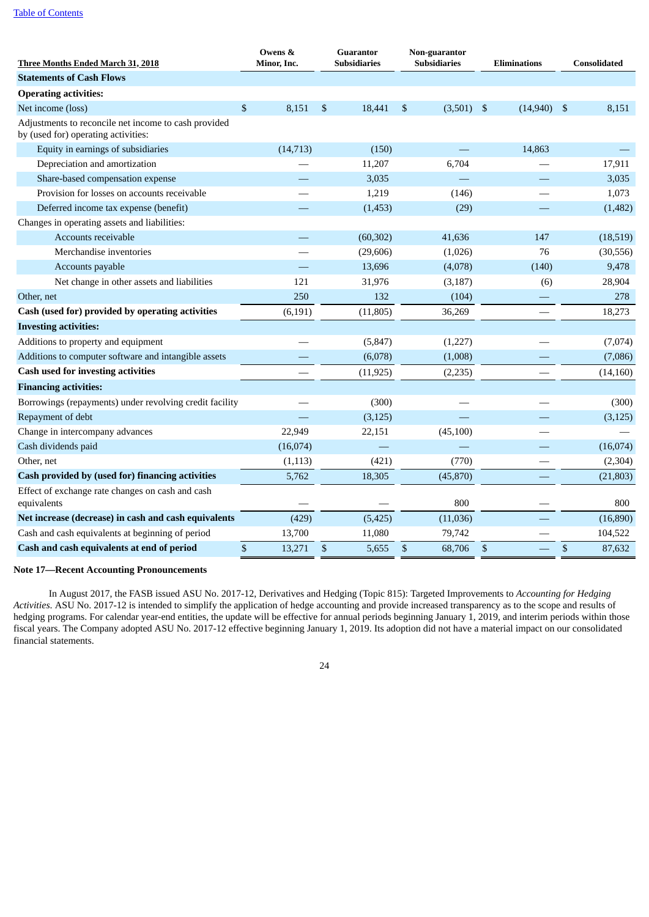| <u>Three Months Ended March 31, 2018</u>                                                    |      | Owens &<br>Minor. Inc. |      | <b>Guarantor</b><br><b>Subsidiaries</b> |              | Non-guarantor<br><b>Subsidiaries</b> |      | <b>Eliminations</b> |      | <b>Consolidated</b> |
|---------------------------------------------------------------------------------------------|------|------------------------|------|-----------------------------------------|--------------|--------------------------------------|------|---------------------|------|---------------------|
| <b>Statements of Cash Flows</b>                                                             |      |                        |      |                                         |              |                                      |      |                     |      |                     |
| <b>Operating activities:</b>                                                                |      |                        |      |                                         |              |                                      |      |                     |      |                     |
| Net income (loss)                                                                           | \$   | 8,151                  | \$   | 18,441                                  | \$           | (3,501)                              | - \$ | $(14,940)$ \$       |      | 8,151               |
| Adjustments to reconcile net income to cash provided<br>by (used for) operating activities: |      |                        |      |                                         |              |                                      |      |                     |      |                     |
| Equity in earnings of subsidiaries                                                          |      | (14, 713)              |      | (150)                                   |              |                                      |      | 14,863              |      |                     |
| Depreciation and amortization                                                               |      |                        |      | 11,207                                  |              | 6,704                                |      |                     |      | 17,911              |
| Share-based compensation expense                                                            |      |                        |      | 3,035                                   |              |                                      |      |                     |      | 3,035               |
| Provision for losses on accounts receivable                                                 |      |                        |      | 1,219                                   |              | (146)                                |      |                     |      | 1,073               |
| Deferred income tax expense (benefit)                                                       |      |                        |      | (1, 453)                                |              | (29)                                 |      |                     |      | (1,482)             |
| Changes in operating assets and liabilities:                                                |      |                        |      |                                         |              |                                      |      |                     |      |                     |
| Accounts receivable                                                                         |      |                        |      | (60, 302)                               |              | 41,636                               |      | 147                 |      | (18, 519)           |
| Merchandise inventories                                                                     |      |                        |      | (29, 606)                               |              | (1,026)                              |      | 76                  |      | (30, 556)           |
| Accounts payable                                                                            |      |                        |      | 13,696                                  |              | (4,078)                              |      | (140)               |      | 9,478               |
| Net change in other assets and liabilities                                                  |      | 121                    |      | 31,976                                  |              | (3, 187)                             |      | (6)                 |      | 28,904              |
| Other, net                                                                                  |      | 250                    |      | 132                                     |              | (104)                                |      |                     |      | 278                 |
| Cash (used for) provided by operating activities                                            |      | (6, 191)               |      | (11, 805)                               |              | 36,269                               |      |                     |      | 18,273              |
| <b>Investing activities:</b>                                                                |      |                        |      |                                         |              |                                      |      |                     |      |                     |
| Additions to property and equipment                                                         |      |                        |      | (5, 847)                                |              | (1,227)                              |      |                     |      | (7,074)             |
| Additions to computer software and intangible assets                                        |      |                        |      | (6,078)                                 |              | (1,008)                              |      |                     |      | (7,086)             |
| <b>Cash used for investing activities</b>                                                   |      |                        |      | (11, 925)                               |              | (2,235)                              |      |                     |      | (14, 160)           |
| <b>Financing activities:</b>                                                                |      |                        |      |                                         |              |                                      |      |                     |      |                     |
| Borrowings (repayments) under revolving credit facility                                     |      |                        |      | (300)                                   |              |                                      |      |                     |      | (300)               |
| Repayment of debt                                                                           |      |                        |      | (3, 125)                                |              |                                      |      |                     |      | (3, 125)            |
| Change in intercompany advances                                                             |      | 22,949                 |      | 22,151                                  |              | (45,100)                             |      |                     |      |                     |
| Cash dividends paid                                                                         |      | (16,074)               |      |                                         |              |                                      |      |                     |      | (16,074)            |
| Other, net                                                                                  |      | (1,113)                |      | (421)                                   |              | (770)                                |      |                     |      | (2, 304)            |
| Cash provided by (used for) financing activities                                            |      | 5,762                  |      | 18,305                                  |              | (45, 870)                            |      |                     |      | (21, 803)           |
| Effect of exchange rate changes on cash and cash<br>equivalents                             |      |                        |      |                                         |              | 800                                  |      |                     |      | 800                 |
| Net increase (decrease) in cash and cash equivalents                                        |      | (429)                  |      | (5, 425)                                |              | (11,036)                             |      |                     |      | (16,890)            |
| Cash and cash equivalents at beginning of period                                            |      | 13,700                 |      | 11,080                                  |              | 79,742                               |      |                     |      | 104,522             |
| Cash and cash equivalents at end of period                                                  | $\$$ | 13,271                 | $\$$ | 5,655                                   | $\mathbb{S}$ | 68,706                               | $\$$ |                     | $\,$ | 87,632              |
|                                                                                             |      |                        |      |                                         |              |                                      |      |                     |      |                     |

# **Note 17—Recent Accounting Pronouncements**

In August 2017, the FASB issued ASU No. 2017-12, Derivatives and Hedging (Topic 815): Targeted Improvements to *Accounting for Hedging Activities*. ASU No. 2017-12 is intended to simplify the application of hedge accounting and provide increased transparency as to the scope and results of hedging programs. For calendar year-end entities, the update will be effective for annual periods beginning January 1, 2019, and interim periods within those fiscal years. The Company adopted ASU No. 2017-12 effective beginning January 1, 2019. Its adoption did not have a material impact on our consolidated financial statements.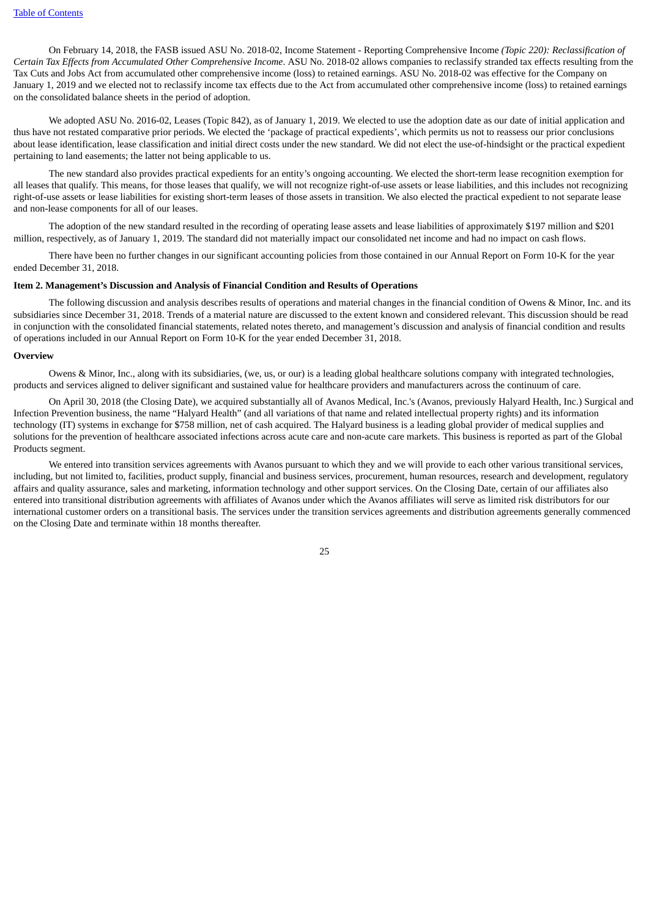On February 14, 2018, the FASB issued ASU No. 2018-02, Income Statement - Reporting Comprehensive Income *(Topic 220): Reclassification of Certain Tax Effects from Accumulated Other Comprehensive Income*. ASU No. 2018-02 allows companies to reclassify stranded tax effects resulting from the Tax Cuts and Jobs Act from accumulated other comprehensive income (loss) to retained earnings. ASU No. 2018-02 was effective for the Company on January 1, 2019 and we elected not to reclassify income tax effects due to the Act from accumulated other comprehensive income (loss) to retained earnings on the consolidated balance sheets in the period of adoption.

We adopted ASU No. 2016-02, Leases (Topic 842), as of January 1, 2019. We elected to use the adoption date as our date of initial application and thus have not restated comparative prior periods. We elected the 'package of practical expedients', which permits us not to reassess our prior conclusions about lease identification, lease classification and initial direct costs under the new standard. We did not elect the use-of-hindsight or the practical expedient pertaining to land easements; the latter not being applicable to us.

The new standard also provides practical expedients for an entity's ongoing accounting. We elected the short-term lease recognition exemption for all leases that qualify. This means, for those leases that qualify, we will not recognize right-of-use assets or lease liabilities, and this includes not recognizing right-of-use assets or lease liabilities for existing short-term leases of those assets in transition. We also elected the practical expedient to not separate lease and non-lease components for all of our leases.

The adoption of the new standard resulted in the recording of operating lease assets and lease liabilities of approximately \$197 million and \$201 million, respectively, as of January 1, 2019. The standard did not materially impact our consolidated net income and had no impact on cash flows.

There have been no further changes in our significant accounting policies from those contained in our Annual Report on Form 10-K for the year ended December 31, 2018.

### <span id="page-24-0"></span>**Item 2. Management's Discussion and Analysis of Financial Condition and Results of Operations**

The following discussion and analysis describes results of operations and material changes in the financial condition of Owens & Minor, Inc. and its subsidiaries since December 31, 2018. Trends of a material nature are discussed to the extent known and considered relevant. This discussion should be read in conjunction with the consolidated financial statements, related notes thereto, and management's discussion and analysis of financial condition and results of operations included in our Annual Report on Form 10-K for the year ended December 31, 2018.

### **Overview**

Owens & Minor, Inc., along with its subsidiaries, (we, us, or our) is a leading global healthcare solutions company with integrated technologies, products and services aligned to deliver significant and sustained value for healthcare providers and manufacturers across the continuum of care.

On April 30, 2018 (the Closing Date), we acquired substantially all of Avanos Medical, Inc.'s (Avanos, previously Halyard Health, Inc.) Surgical and Infection Prevention business, the name "Halyard Health" (and all variations of that name and related intellectual property rights) and its information technology (IT) systems in exchange for \$758 million, net of cash acquired. The Halyard business is a leading global provider of medical supplies and solutions for the prevention of healthcare associated infections across acute care and non-acute care markets. This business is reported as part of the Global Products segment.

We entered into transition services agreements with Avanos pursuant to which they and we will provide to each other various transitional services, including, but not limited to, facilities, product supply, financial and business services, procurement, human resources, research and development, regulatory affairs and quality assurance, sales and marketing, information technology and other support services. On the Closing Date, certain of our affiliates also entered into transitional distribution agreements with affiliates of Avanos under which the Avanos affiliates will serve as limited risk distributors for our international customer orders on a transitional basis. The services under the transition services agreements and distribution agreements generally commenced on the Closing Date and terminate within 18 months thereafter.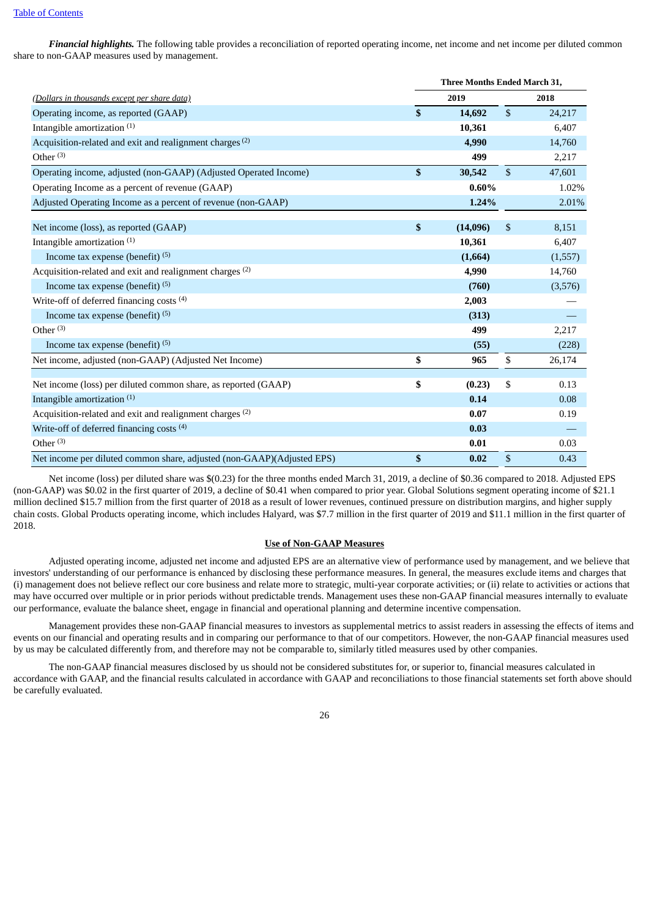*Financial highlights.* The following table provides a reconciliation of reported operating income, net income and net income per diluted common share to non-GAAP measures used by management.

|                                                                        | Three Months Ended March 31, |              |         |
|------------------------------------------------------------------------|------------------------------|--------------|---------|
| (Dollars in thousands except per share data)                           | 2019                         |              | 2018    |
| Operating income, as reported (GAAP)                                   | \$<br>14,692                 | \$           | 24,217  |
| Intangible amortization <sup>(1)</sup>                                 | 10,361                       |              | 6,407   |
| Acquisition-related and exit and realignment charges <sup>(2)</sup>    | 4,990                        |              | 14,760  |
| Other $(3)$                                                            | 499                          |              | 2,217   |
| Operating income, adjusted (non-GAAP) (Adjusted Operated Income)       | \$<br>30,542                 | $\mathbb{S}$ | 47,601  |
| Operating Income as a percent of revenue (GAAP)                        | $0.60\%$                     |              | 1.02%   |
| Adjusted Operating Income as a percent of revenue (non-GAAP)           | 1.24%                        |              | 2.01%   |
| Net income (loss), as reported (GAAP)                                  | \$<br>(14,096)               | \$           | 8,151   |
|                                                                        | 10,361                       |              | 6,407   |
| Intangible amortization <sup>(1)</sup>                                 |                              |              |         |
| Income tax expense (benefit) $(5)$                                     | (1,664)                      |              | (1,557) |
| Acquisition-related and exit and realignment charges <sup>(2)</sup>    | 4,990                        |              | 14,760  |
| Income tax expense (benefit) <sup>(5)</sup>                            | (760)                        |              | (3,576) |
| Write-off of deferred financing costs (4)                              | 2,003                        |              |         |
| Income tax expense (benefit) <sup>(5)</sup>                            | (313)                        |              |         |
| Other $(3)$                                                            | 499                          |              | 2,217   |
| Income tax expense (benefit) (5)                                       | (55)                         |              | (228)   |
| Net income, adjusted (non-GAAP) (Adjusted Net Income)                  | \$<br>965                    | \$           | 26,174  |
|                                                                        |                              |              |         |
| Net income (loss) per diluted common share, as reported (GAAP)         | \$<br>(0.23)                 | \$           | 0.13    |
| Intangible amortization (1)                                            | 0.14                         |              | 0.08    |
| Acquisition-related and exit and realignment charges <sup>(2)</sup>    | 0.07                         |              | 0.19    |
| Write-off of deferred financing costs (4)                              | 0.03                         |              |         |
| Other $(3)$                                                            | 0.01                         |              | 0.03    |
| Net income per diluted common share, adjusted (non-GAAP)(Adjusted EPS) | \$<br>0.02                   | \$           | 0.43    |

Net income (loss) per diluted share was \$(0.23) for the three months ended March 31, 2019, a decline of \$0.36 compared to 2018. Adjusted EPS (non-GAAP) was \$0.02 in the first quarter of 2019, a decline of \$0.41 when compared to prior year. Global Solutions segment operating income of \$21.1 million declined \$15.7 million from the first quarter of 2018 as a result of lower revenues, continued pressure on distribution margins, and higher supply chain costs. Global Products operating income, which includes Halyard, was \$7.7 million in the first quarter of 2019 and \$11.1 million in the first quarter of 2018.

### **Use of Non-GAAP Measures**

Adjusted operating income, adjusted net income and adjusted EPS are an alternative view of performance used by management, and we believe that investors' understanding of our performance is enhanced by disclosing these performance measures. In general, the measures exclude items and charges that (i) management does not believe reflect our core business and relate more to strategic, multi-year corporate activities; or (ii) relate to activities or actions that may have occurred over multiple or in prior periods without predictable trends. Management uses these non-GAAP financial measures internally to evaluate our performance, evaluate the balance sheet, engage in financial and operational planning and determine incentive compensation.

Management provides these non-GAAP financial measures to investors as supplemental metrics to assist readers in assessing the effects of items and events on our financial and operating results and in comparing our performance to that of our competitors. However, the non-GAAP financial measures used by us may be calculated differently from, and therefore may not be comparable to, similarly titled measures used by other companies.

The non-GAAP financial measures disclosed by us should not be considered substitutes for, or superior to, financial measures calculated in accordance with GAAP, and the financial results calculated in accordance with GAAP and reconciliations to those financial statements set forth above should be carefully evaluated.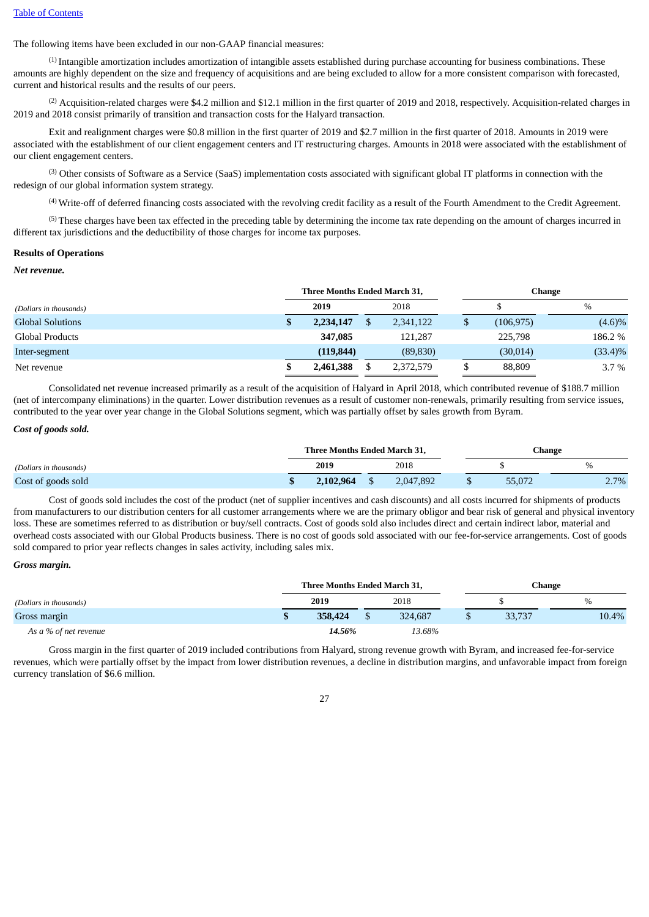The following items have been excluded in our non-GAAP financial measures:

(1) Intangible amortization includes amortization of intangible assets established during purchase accounting for business combinations. These amounts are highly dependent on the size and frequency of acquisitions and are being excluded to allow for a more consistent comparison with forecasted, current and historical results and the results of our peers.

 $^{(2)}$  Acquisition-related charges were \$4.2 million and \$12.1 million in the first quarter of 2019 and 2018, respectively. Acquisition-related charges in 2019 and 2018 consist primarily of transition and transaction costs for the Halyard transaction.

Exit and realignment charges were \$0.8 million in the first quarter of 2019 and \$2.7 million in the first quarter of 2018. Amounts in 2019 were associated with the establishment of our client engagement centers and IT restructuring charges. Amounts in 2018 were associated with the establishment of our client engagement centers.

(3) Other consists of Software as a Service (SaaS) implementation costs associated with significant global IT platforms in connection with the redesign of our global information system strategy.

(4) Write-off of deferred financing costs associated with the revolving credit facility as a result of the Fourth Amendment to the Credit Agreement.

(5) These charges have been tax effected in the preceding table by determining the income tax rate depending on the amount of charges incurred in different tax jurisdictions and the deductibility of those charges for income tax purposes.

#### **Results of Operations**

### *Net revenue.*

| (Dollars in thousands)  |  | Three Months Ended March 31, |           | <b>Change</b> |            |  |  |  |
|-------------------------|--|------------------------------|-----------|---------------|------------|--|--|--|
|                         |  | 2019                         | 2018      |               | $\%$       |  |  |  |
| <b>Global Solutions</b> |  | 2,234,147                    | 2,341,122 | (106, 975)    | $(4.6)\%$  |  |  |  |
| Global Products         |  | 347,085                      | 121.287   | 225,798       | 186.2 %    |  |  |  |
| Inter-segment           |  | (119, 844)                   | (89, 830) | (30,014)      | $(33.4)\%$ |  |  |  |
| Net revenue             |  | 2,461,388                    | 2,372,579 | 88,809        | $3.7\%$    |  |  |  |

Consolidated net revenue increased primarily as a result of the acquisition of Halyard in April 2018, which contributed revenue of \$188.7 million (net of intercompany eliminations) in the quarter. Lower distribution revenues as a result of customer non-renewals, primarily resulting from service issues, contributed to the year over year change in the Global Solutions segment, which was partially offset by sales growth from Byram.

#### *Cost of goods sold.*

|                        | Three Months Ended March 31, |           |  |           |  | Change |         |
|------------------------|------------------------------|-----------|--|-----------|--|--------|---------|
| (Dollars in thousands) |                              | 2019      |  | 2018      |  |        | $\%$    |
| Cost of goods sold     |                              | 2.102.964 |  | 2.047.892 |  | 55,072 | $2.7\%$ |

Cost of goods sold includes the cost of the product (net of supplier incentives and cash discounts) and all costs incurred for shipments of products from manufacturers to our distribution centers for all customer arrangements where we are the primary obligor and bear risk of general and physical inventory loss. These are sometimes referred to as distribution or buy/sell contracts. Cost of goods sold also includes direct and certain indirect labor, material and overhead costs associated with our Global Products business. There is no cost of goods sold associated with our fee-for-service arrangements. Cost of goods sold compared to prior year reflects changes in sales activity, including sales mix.

### *Gross margin.*

|                        | Three Months Ended March 31. |         |  |         |  | Change |       |  |  |
|------------------------|------------------------------|---------|--|---------|--|--------|-------|--|--|
| (Dollars in thousands) |                              | 2019    |  | 2018    |  |        | $\%$  |  |  |
| Gross margin           |                              | 358,424 |  | 324,687 |  | 33,737 | 10.4% |  |  |
| As a % of net revenue  |                              | 14.56%  |  | 13.68%  |  |        |       |  |  |

Gross margin in the first quarter of 2019 included contributions from Halyard, strong revenue growth with Byram, and increased fee-for-service revenues, which were partially offset by the impact from lower distribution revenues, a decline in distribution margins, and unfavorable impact from foreign currency translation of \$6.6 million.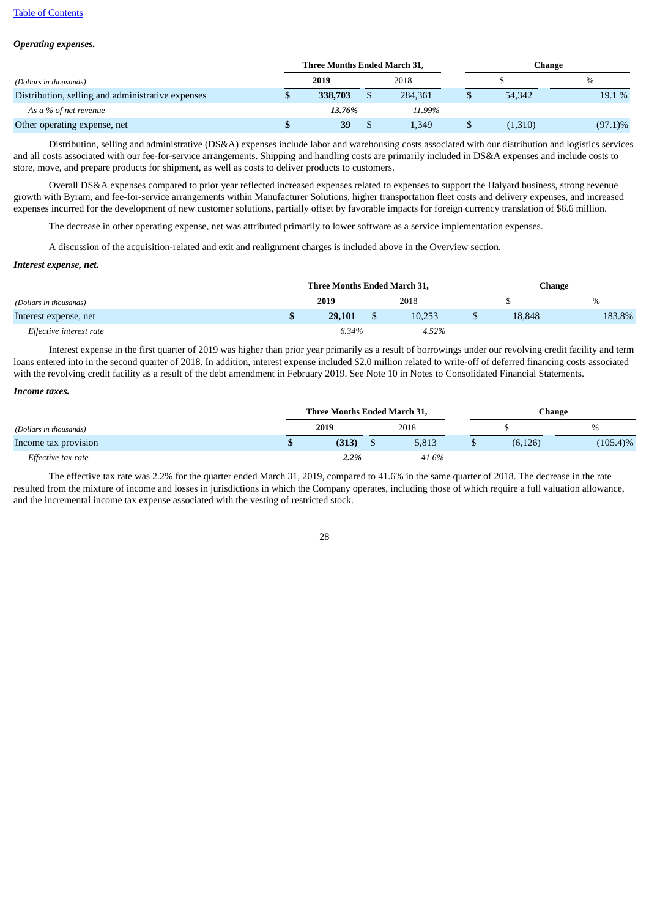### *Operating expenses.*

|                                                   |  | Three Months Ended March 31, |         |  | Change  |            |  |  |
|---------------------------------------------------|--|------------------------------|---------|--|---------|------------|--|--|
| (Dollars in thousands)                            |  | 2019                         | 2018    |  |         | $\%$       |  |  |
| Distribution, selling and administrative expenses |  | 338,703                      | 284,361 |  | 54,342  | 19.1 %     |  |  |
| As a % of net revenue                             |  | 13.76%                       | 11.99%  |  |         |            |  |  |
| Other operating expense, net                      |  | 39                           | 1,349   |  | (1,310) | $(97.1)\%$ |  |  |

Distribution, selling and administrative (DS&A) expenses include labor and warehousing costs associated with our distribution and logistics services and all costs associated with our fee-for-service arrangements. Shipping and handling costs are primarily included in DS&A expenses and include costs to store, move, and prepare products for shipment, as well as costs to deliver products to customers.

Overall DS&A expenses compared to prior year reflected increased expenses related to expenses to support the Halyard business, strong revenue growth with Byram, and fee-for-service arrangements within Manufacturer Solutions, higher transportation fleet costs and delivery expenses, and increased expenses incurred for the development of new customer solutions, partially offset by favorable impacts for foreign currency translation of \$6.6 million.

The decrease in other operating expense, net was attributed primarily to lower software as a service implementation expenses.

A discussion of the acquisition-related and exit and realignment charges is included above in the Overview section.

#### *Interest expense, net***.**

|                         | Three Months Ended March 31, |  |        |  | Change |        |  |
|-------------------------|------------------------------|--|--------|--|--------|--------|--|
| (Dollars in thousands)  | 2019                         |  | 2018   |  |        | %      |  |
| Interest expense, net   | 29,101                       |  | 10.253 |  | 18.848 | 183.8% |  |
| Effective interest rate | 6.34%                        |  | 4.52%  |  |        |        |  |

Interest expense in the first quarter of 2019 was higher than prior year primarily as a result of borrowings under our revolving credit facility and term loans entered into in the second quarter of 2018. In addition, interest expense included \$2.0 million related to write-off of deferred financing costs associated with the revolving credit facility as a result of the debt amendment in February 2019. See Note 10 in Notes to Consolidated Financial Statements.

### *Income taxes.*

|                        |      | Three Months Ended March 31, |      |       | Change |          |             |  |
|------------------------|------|------------------------------|------|-------|--------|----------|-------------|--|
| (Dollars in thousands) | 2019 |                              | 2018 |       |        |          | $\%$        |  |
| Income tax provision   |      | (313)                        |      | 5,813 |        | (6, 126) | $(105.4)\%$ |  |
| Effective tax rate     |      | 2.2%                         |      | 41.6% |        |          |             |  |

The effective tax rate was 2.2% for the quarter ended March 31, 2019, compared to 41.6% in the same quarter of 2018. The decrease in the rate resulted from the mixture of income and losses in jurisdictions in which the Company operates, including those of which require a full valuation allowance, and the incremental income tax expense associated with the vesting of restricted stock.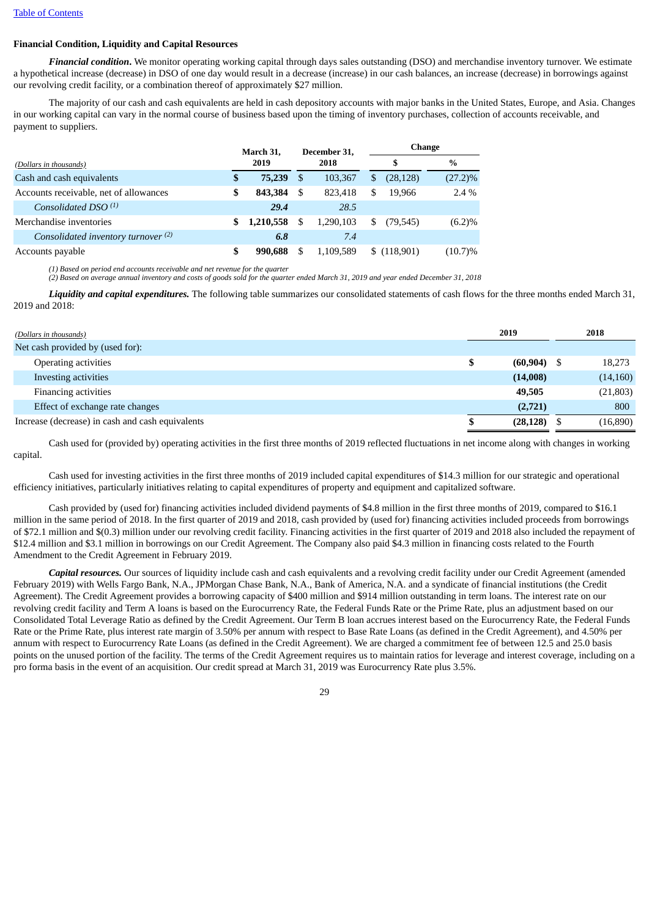# **Financial Condition, Liquidity and Capital Resources**

*Financial condition***.** We monitor operating working capital through days sales outstanding (DSO) and merchandise inventory turnover. We estimate a hypothetical increase (decrease) in DSO of one day would result in a decrease (increase) in our cash balances, an increase (decrease) in borrowings against our revolving credit facility, or a combination thereof of approximately \$27 million.

The majority of our cash and cash equivalents are held in cash depository accounts with major banks in the United States, Europe, and Asia. Changes in our working capital can vary in the normal course of business based upon the timing of inventory purchases, collection of accounts receivable, and payment to suppliers.

|                                        | March 31. |           | December 31. |           |    | Change      |               |  |  |
|----------------------------------------|-----------|-----------|--------------|-----------|----|-------------|---------------|--|--|
| (Dollars in thousands)                 |           | 2019      | 2018         |           |    |             | $\frac{0}{0}$ |  |  |
| Cash and cash equivalents              | \$        | 75,239    | - \$         | 103.367   | S. | (28, 128)   | $(27.2)\%$    |  |  |
| Accounts receivable, net of allowances | S         | 843,384   | -S           | 823.418   | \$ | 19.966      | $2.4\%$       |  |  |
| Consolidated DSO $(1)$                 |           | 29.4      |              | 28.5      |    |             |               |  |  |
| Merchandise inventories                | S         | 1,210,558 | \$           | 1,290,103 |    | (79, 545)   | (6.2)%        |  |  |
| Consolidated inventory turnover (2)    |           | 6.8       |              | 7.4       |    |             |               |  |  |
| Accounts payable                       | \$        | 990.688   | S            | 1,109,589 |    | \$(118,901) | $(10.7)\%$    |  |  |

*(1) Based on period end accounts receivable and net revenue for the quarter*

(2) Based on average annual inventory and costs of goods sold for the quarter ended March 31, 2019 and year ended December 31, 2018

*Liquidity and capital expenditures.* The following table summarizes our consolidated statements of cash flows for the three months ended March 31, 2019 and 2018:

| (Dollars in thousands)                           | 2019           | 2018      |
|--------------------------------------------------|----------------|-----------|
| Net cash provided by (used for):                 |                |           |
| Operating activities                             | $(60, 904)$ \$ | 18,273    |
| Investing activities                             | (14,008)       | (14, 160) |
| Financing activities                             | 49,505         | (21, 803) |
| Effect of exchange rate changes                  | (2,721)        | 800       |
| Increase (decrease) in cash and cash equivalents | (28, 128)      | (16, 890) |

Cash used for (provided by) operating activities in the first three months of 2019 reflected fluctuations in net income along with changes in working capital.

Cash used for investing activities in the first three months of 2019 included capital expenditures of \$14.3 million for our strategic and operational efficiency initiatives, particularly initiatives relating to capital expenditures of property and equipment and capitalized software.

Cash provided by (used for) financing activities included dividend payments of \$4.8 million in the first three months of 2019, compared to \$16.1 million in the same period of 2018. In the first quarter of 2019 and 2018, cash provided by (used for) financing activities included proceeds from borrowings of \$72.1 million and \$(0.3) million under our revolving credit facility. Financing activities in the first quarter of 2019 and 2018 also included the repayment of \$12.4 million and \$3.1 million in borrowings on our Credit Agreement. The Company also paid \$4.3 million in financing costs related to the Fourth Amendment to the Credit Agreement in February 2019.

*Capital resources.* Our sources of liquidity include cash and cash equivalents and a revolving credit facility under our Credit Agreement (amended February 2019) with Wells Fargo Bank, N.A., JPMorgan Chase Bank, N.A., Bank of America, N.A. and a syndicate of financial institutions (the Credit Agreement). The Credit Agreement provides a borrowing capacity of \$400 million and \$914 million outstanding in term loans. The interest rate on our revolving credit facility and Term A loans is based on the Eurocurrency Rate, the Federal Funds Rate or the Prime Rate, plus an adjustment based on our Consolidated Total Leverage Ratio as defined by the Credit Agreement. Our Term B loan accrues interest based on the Eurocurrency Rate, the Federal Funds Rate or the Prime Rate, plus interest rate margin of 3.50% per annum with respect to Base Rate Loans (as defined in the Credit Agreement), and 4.50% per annum with respect to Eurocurrency Rate Loans (as defined in the Credit Agreement). We are charged a commitment fee of between 12.5 and 25.0 basis points on the unused portion of the facility. The terms of the Credit Agreement requires us to maintain ratios for leverage and interest coverage, including on a pro forma basis in the event of an acquisition. Our credit spread at March 31, 2019 was Eurocurrency Rate plus 3.5%.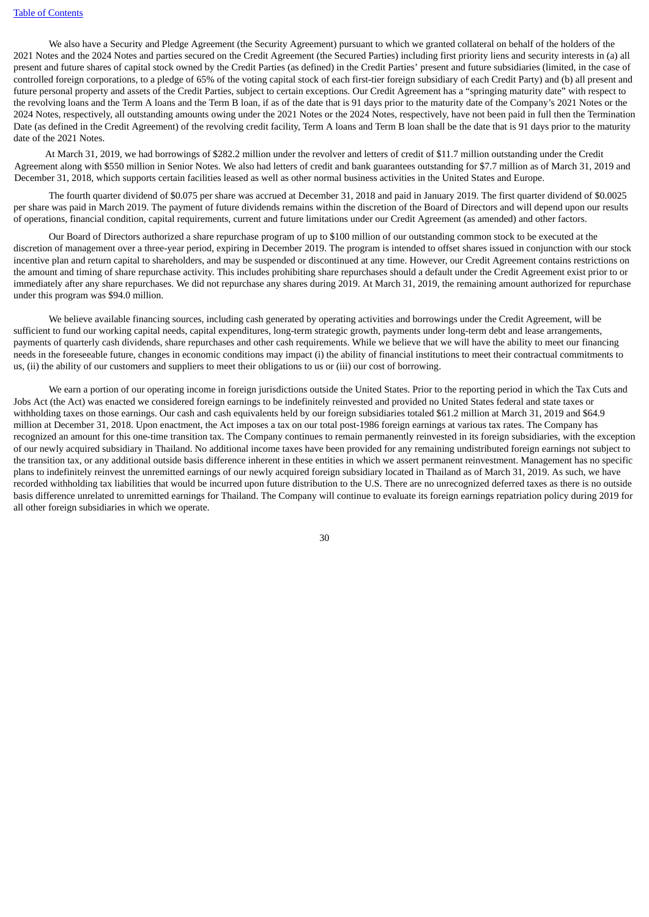We also have a Security and Pledge Agreement (the Security Agreement) pursuant to which we granted collateral on behalf of the holders of the 2021 Notes and the 2024 Notes and parties secured on the Credit Agreement (the Secured Parties) including first priority liens and security interests in (a) all present and future shares of capital stock owned by the Credit Parties (as defined) in the Credit Parties' present and future subsidiaries (limited, in the case of controlled foreign corporations, to a pledge of 65% of the voting capital stock of each first-tier foreign subsidiary of each Credit Party) and (b) all present and future personal property and assets of the Credit Parties, subject to certain exceptions. Our Credit Agreement has a "springing maturity date" with respect to the revolving loans and the Term A loans and the Term B loan, if as of the date that is 91 days prior to the maturity date of the Company's 2021 Notes or the 2024 Notes, respectively, all outstanding amounts owing under the 2021 Notes or the 2024 Notes, respectively, have not been paid in full then the Termination Date (as defined in the Credit Agreement) of the revolving credit facility, Term A loans and Term B loan shall be the date that is 91 days prior to the maturity date of the 2021 Notes.

At March 31, 2019, we had borrowings of \$282.2 million under the revolver and letters of credit of \$11.7 million outstanding under the Credit Agreement along with \$550 million in Senior Notes. We also had letters of credit and bank guarantees outstanding for \$7.7 million as of March 31, 2019 and December 31, 2018, which supports certain facilities leased as well as other normal business activities in the United States and Europe.

The fourth quarter dividend of \$0.075 per share was accrued at December 31, 2018 and paid in January 2019. The first quarter dividend of \$0.0025 per share was paid in March 2019. The payment of future dividends remains within the discretion of the Board of Directors and will depend upon our results of operations, financial condition, capital requirements, current and future limitations under our Credit Agreement (as amended) and other factors.

Our Board of Directors authorized a share repurchase program of up to \$100 million of our outstanding common stock to be executed at the discretion of management over a three-year period, expiring in December 2019. The program is intended to offset shares issued in conjunction with our stock incentive plan and return capital to shareholders, and may be suspended or discontinued at any time. However, our Credit Agreement contains restrictions on the amount and timing of share repurchase activity. This includes prohibiting share repurchases should a default under the Credit Agreement exist prior to or immediately after any share repurchases. We did not repurchase any shares during 2019. At March 31, 2019, the remaining amount authorized for repurchase under this program was \$94.0 million.

We believe available financing sources, including cash generated by operating activities and borrowings under the Credit Agreement, will be sufficient to fund our working capital needs, capital expenditures, long-term strategic growth, payments under long-term debt and lease arrangements, payments of quarterly cash dividends, share repurchases and other cash requirements. While we believe that we will have the ability to meet our financing needs in the foreseeable future, changes in economic conditions may impact (i) the ability of financial institutions to meet their contractual commitments to us, (ii) the ability of our customers and suppliers to meet their obligations to us or (iii) our cost of borrowing.

We earn a portion of our operating income in foreign jurisdictions outside the United States. Prior to the reporting period in which the Tax Cuts and Jobs Act (the Act) was enacted we considered foreign earnings to be indefinitely reinvested and provided no United States federal and state taxes or withholding taxes on those earnings. Our cash and cash equivalents held by our foreign subsidiaries totaled \$61.2 million at March 31, 2019 and \$64.9 million at December 31, 2018. Upon enactment, the Act imposes a tax on our total post-1986 foreign earnings at various tax rates. The Company has recognized an amount for this one-time transition tax. The Company continues to remain permanently reinvested in its foreign subsidiaries, with the exception of our newly acquired subsidiary in Thailand. No additional income taxes have been provided for any remaining undistributed foreign earnings not subject to the transition tax, or any additional outside basis difference inherent in these entities in which we assert permanent reinvestment. Management has no specific plans to indefinitely reinvest the unremitted earnings of our newly acquired foreign subsidiary located in Thailand as of March 31, 2019. As such, we have recorded withholding tax liabilities that would be incurred upon future distribution to the U.S. There are no unrecognized deferred taxes as there is no outside basis difference unrelated to unremitted earnings for Thailand. The Company will continue to evaluate its foreign earnings repatriation policy during 2019 for all other foreign subsidiaries in which we operate.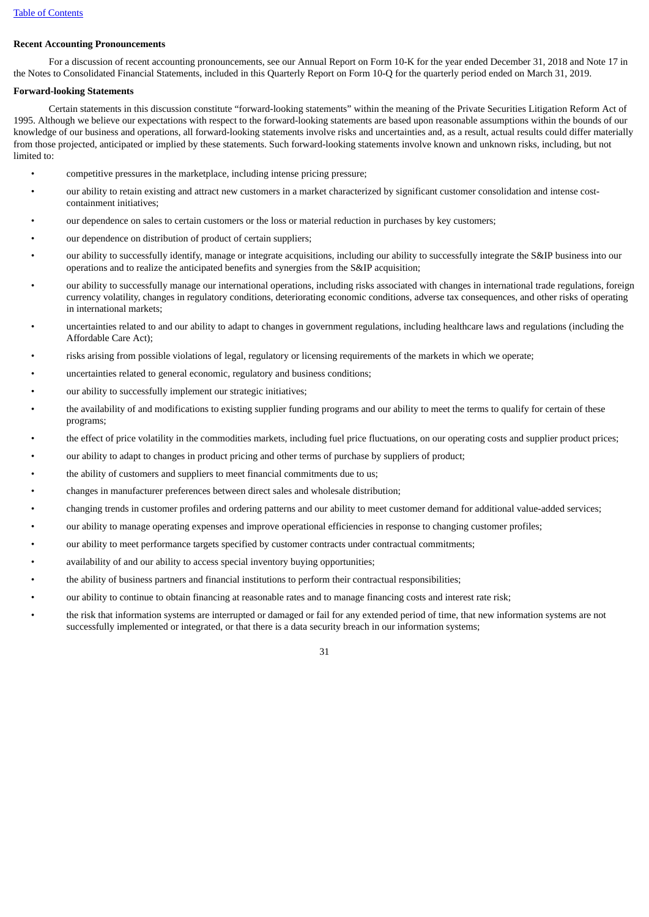### **Recent Accounting Pronouncements**

For a discussion of recent accounting pronouncements, see our Annual Report on Form 10-K for the year ended December 31, 2018 and Note 17 in the Notes to Consolidated Financial Statements, included in this Quarterly Report on Form 10-Q for the quarterly period ended on March 31, 2019.

### **Forward-looking Statements**

Certain statements in this discussion constitute "forward-looking statements" within the meaning of the Private Securities Litigation Reform Act of 1995. Although we believe our expectations with respect to the forward-looking statements are based upon reasonable assumptions within the bounds of our knowledge of our business and operations, all forward-looking statements involve risks and uncertainties and, as a result, actual results could differ materially from those projected, anticipated or implied by these statements. Such forward-looking statements involve known and unknown risks, including, but not limited to:

- competitive pressures in the marketplace, including intense pricing pressure;
- our ability to retain existing and attract new customers in a market characterized by significant customer consolidation and intense costcontainment initiatives;
- our dependence on sales to certain customers or the loss or material reduction in purchases by key customers;
- our dependence on distribution of product of certain suppliers;
- our ability to successfully identify, manage or integrate acquisitions, including our ability to successfully integrate the S&IP business into our operations and to realize the anticipated benefits and synergies from the S&IP acquisition;
- our ability to successfully manage our international operations, including risks associated with changes in international trade regulations, foreign currency volatility, changes in regulatory conditions, deteriorating economic conditions, adverse tax consequences, and other risks of operating in international markets;
- uncertainties related to and our ability to adapt to changes in government regulations, including healthcare laws and regulations (including the Affordable Care Act);
- risks arising from possible violations of legal, regulatory or licensing requirements of the markets in which we operate;
- uncertainties related to general economic, regulatory and business conditions;
- our ability to successfully implement our strategic initiatives;
- the availability of and modifications to existing supplier funding programs and our ability to meet the terms to qualify for certain of these programs;
- the effect of price volatility in the commodities markets, including fuel price fluctuations, on our operating costs and supplier product prices;
- our ability to adapt to changes in product pricing and other terms of purchase by suppliers of product;
- the ability of customers and suppliers to meet financial commitments due to us;
- changes in manufacturer preferences between direct sales and wholesale distribution;
- changing trends in customer profiles and ordering patterns and our ability to meet customer demand for additional value-added services;
- our ability to manage operating expenses and improve operational efficiencies in response to changing customer profiles;
- our ability to meet performance targets specified by customer contracts under contractual commitments;
- availability of and our ability to access special inventory buying opportunities;
- the ability of business partners and financial institutions to perform their contractual responsibilities;
- our ability to continue to obtain financing at reasonable rates and to manage financing costs and interest rate risk;
- the risk that information systems are interrupted or damaged or fail for any extended period of time, that new information systems are not successfully implemented or integrated, or that there is a data security breach in our information systems;

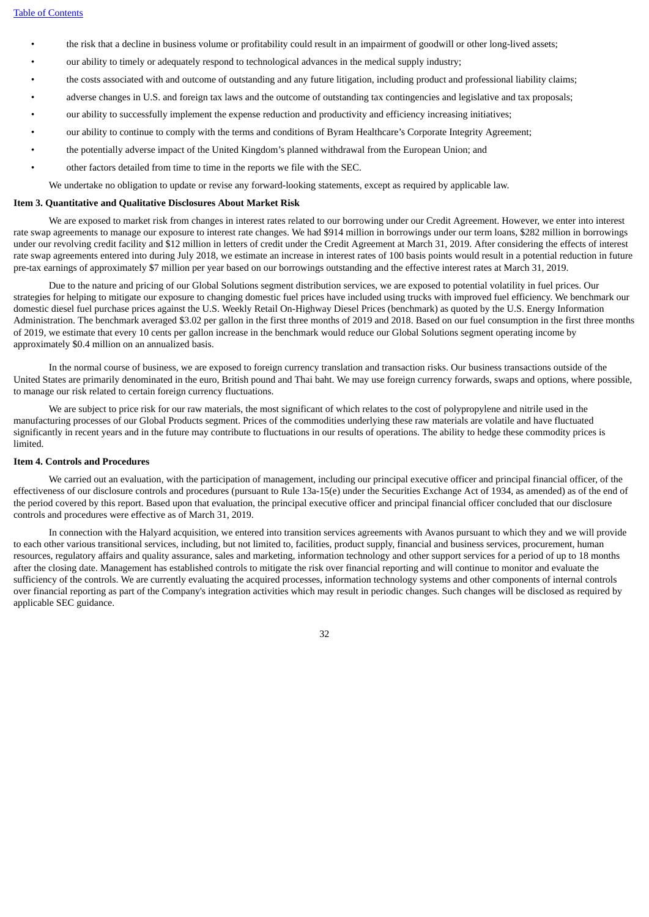- the risk that a decline in business volume or profitability could result in an impairment of goodwill or other long-lived assets;
- our ability to timely or adequately respond to technological advances in the medical supply industry;
- the costs associated with and outcome of outstanding and any future litigation, including product and professional liability claims;
- adverse changes in U.S. and foreign tax laws and the outcome of outstanding tax contingencies and legislative and tax proposals;
- our ability to successfully implement the expense reduction and productivity and efficiency increasing initiatives;
- our ability to continue to comply with the terms and conditions of Byram Healthcare's Corporate Integrity Agreement;
- the potentially adverse impact of the United Kingdom's planned withdrawal from the European Union; and
- other factors detailed from time to time in the reports we file with the SEC.

We undertake no obligation to update or revise any forward-looking statements, except as required by applicable law.

### <span id="page-31-0"></span>**Item 3. Quantitative and Qualitative Disclosures About Market Risk**

We are exposed to market risk from changes in interest rates related to our borrowing under our Credit Agreement. However, we enter into interest rate swap agreements to manage our exposure to interest rate changes. We had \$914 million in borrowings under our term loans, \$282 million in borrowings under our revolving credit facility and \$12 million in letters of credit under the Credit Agreement at March 31, 2019. After considering the effects of interest rate swap agreements entered into during July 2018, we estimate an increase in interest rates of 100 basis points would result in a potential reduction in future pre-tax earnings of approximately \$7 million per year based on our borrowings outstanding and the effective interest rates at March 31, 2019.

Due to the nature and pricing of our Global Solutions segment distribution services, we are exposed to potential volatility in fuel prices. Our strategies for helping to mitigate our exposure to changing domestic fuel prices have included using trucks with improved fuel efficiency. We benchmark our domestic diesel fuel purchase prices against the U.S. Weekly Retail On-Highway Diesel Prices (benchmark) as quoted by the U.S. Energy Information Administration. The benchmark averaged \$3.02 per gallon in the first three months of 2019 and 2018. Based on our fuel consumption in the first three months of 2019, we estimate that every 10 cents per gallon increase in the benchmark would reduce our Global Solutions segment operating income by approximately \$0.4 million on an annualized basis.

In the normal course of business, we are exposed to foreign currency translation and transaction risks. Our business transactions outside of the United States are primarily denominated in the euro, British pound and Thai baht. We may use foreign currency forwards, swaps and options, where possible, to manage our risk related to certain foreign currency fluctuations.

We are subject to price risk for our raw materials, the most significant of which relates to the cost of polypropylene and nitrile used in the manufacturing processes of our Global Products segment. Prices of the commodities underlying these raw materials are volatile and have fluctuated significantly in recent years and in the future may contribute to fluctuations in our results of operations. The ability to hedge these commodity prices is limited.

### <span id="page-31-1"></span>**Item 4. Controls and Procedures**

We carried out an evaluation, with the participation of management, including our principal executive officer and principal financial officer, of the effectiveness of our disclosure controls and procedures (pursuant to Rule 13a-15(e) under the Securities Exchange Act of 1934, as amended) as of the end of the period covered by this report. Based upon that evaluation, the principal executive officer and principal financial officer concluded that our disclosure controls and procedures were effective as of March 31, 2019.

In connection with the Halyard acquisition, we entered into transition services agreements with Avanos pursuant to which they and we will provide to each other various transitional services, including, but not limited to, facilities, product supply, financial and business services, procurement, human resources, regulatory affairs and quality assurance, sales and marketing, information technology and other support services for a period of up to 18 months after the closing date. Management has established controls to mitigate the risk over financial reporting and will continue to monitor and evaluate the sufficiency of the controls. We are currently evaluating the acquired processes, information technology systems and other components of internal controls over financial reporting as part of the Company's integration activities which may result in periodic changes. Such changes will be disclosed as required by applicable SEC guidance.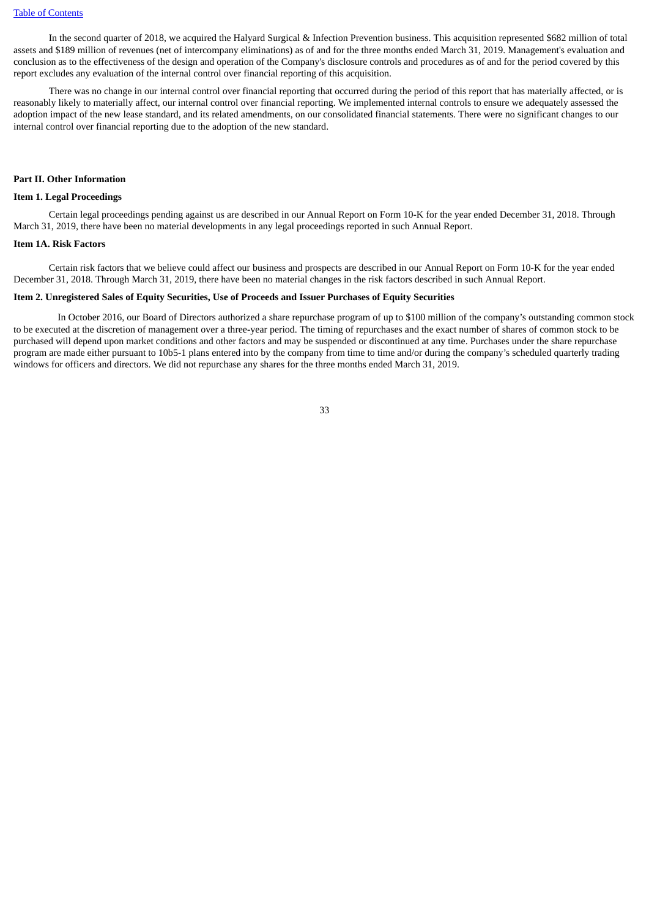In the second quarter of 2018, we acquired the Halyard Surgical & Infection Prevention business. This acquisition represented \$682 million of total assets and \$189 million of revenues (net of intercompany eliminations) as of and for the three months ended March 31, 2019. Management's evaluation and conclusion as to the effectiveness of the design and operation of the Company's disclosure controls and procedures as of and for the period covered by this report excludes any evaluation of the internal control over financial reporting of this acquisition.

There was no change in our internal control over financial reporting that occurred during the period of this report that has materially affected, or is reasonably likely to materially affect, our internal control over financial reporting. We implemented internal controls to ensure we adequately assessed the adoption impact of the new lease standard, and its related amendments, on our consolidated financial statements. There were no significant changes to our internal control over financial reporting due to the adoption of the new standard.

#### <span id="page-32-0"></span>**Part II. Other Information**

# <span id="page-32-1"></span>**Item 1. Legal Proceedings**

Certain legal proceedings pending against us are described in our Annual Report on Form 10-K for the year ended December 31, 2018. Through March 31, 2019, there have been no material developments in any legal proceedings reported in such Annual Report.

#### <span id="page-32-2"></span>**Item 1A. Risk Factors**

Certain risk factors that we believe could affect our business and prospects are described in our Annual Report on Form 10-K for the year ended December 31, 2018. Through March 31, 2019, there have been no material changes in the risk factors described in such Annual Report.

### <span id="page-32-3"></span>**Item 2. Unregistered Sales of Equity Securities, Use of Proceeds and Issuer Purchases of Equity Securities**

In October 2016, our Board of Directors authorized a share repurchase program of up to \$100 million of the company's outstanding common stock to be executed at the discretion of management over a three-year period. The timing of repurchases and the exact number of shares of common stock to be purchased will depend upon market conditions and other factors and may be suspended or discontinued at any time. Purchases under the share repurchase program are made either pursuant to 10b5-1 plans entered into by the company from time to time and/or during the company's scheduled quarterly trading windows for officers and directors. We did not repurchase any shares for the three months ended March 31, 2019.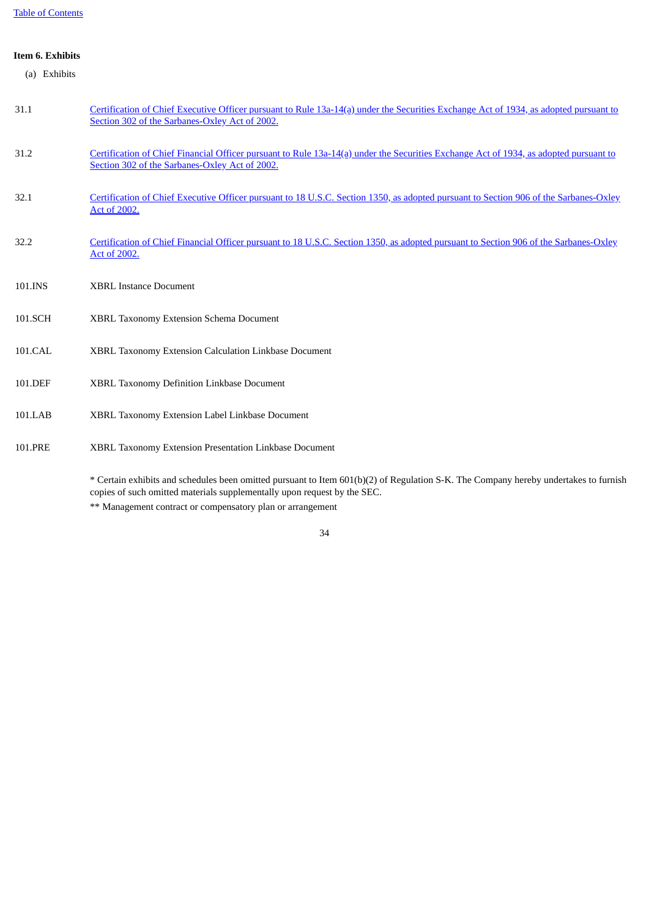# <span id="page-33-0"></span>**Item 6. Exhibits**

| 31.1    | Certification of Chief Executive Officer pursuant to Rule 13a-14(a) under the Securities Exchange Act of 1934, as adopted pursuant to<br>Section 302 of the Sarbanes-Oxley Act of 2002. |
|---------|-----------------------------------------------------------------------------------------------------------------------------------------------------------------------------------------|
| 31.2    | Certification of Chief Financial Officer pursuant to Rule 13a-14(a) under the Securities Exchange Act of 1934, as adopted pursuant to<br>Section 302 of the Sarbanes-Oxley Act of 2002. |
| 32.1    | Certification of Chief Executive Officer pursuant to 18 U.S.C. Section 1350, as adopted pursuant to Section 906 of the Sarbanes-Oxley<br>Act of 2002.                                   |
| 32.2    | Certification of Chief Financial Officer pursuant to 18 U.S.C. Section 1350, as adopted pursuant to Section 906 of the Sarbanes-Oxley<br>Act of 2002.                                   |
| 101.INS | <b>XBRL Instance Document</b>                                                                                                                                                           |
| 101.SCH | <b>XBRL Taxonomy Extension Schema Document</b>                                                                                                                                          |
| 101.CAL | XBRL Taxonomy Extension Calculation Linkbase Document                                                                                                                                   |

- 101.DEF XBRL Taxonomy Definition Linkbase Document
- 101.LAB XBRL Taxonomy Extension Label Linkbase Document
- 101.PRE XBRL Taxonomy Extension Presentation Linkbase Document

\* Certain exhibits and schedules been omitted pursuant to Item 601(b)(2) of Regulation S-K. The Company hereby undertakes to furnish copies of such omitted materials supplementally upon request by the SEC.

\*\* Management contract or compensatory plan or arrangement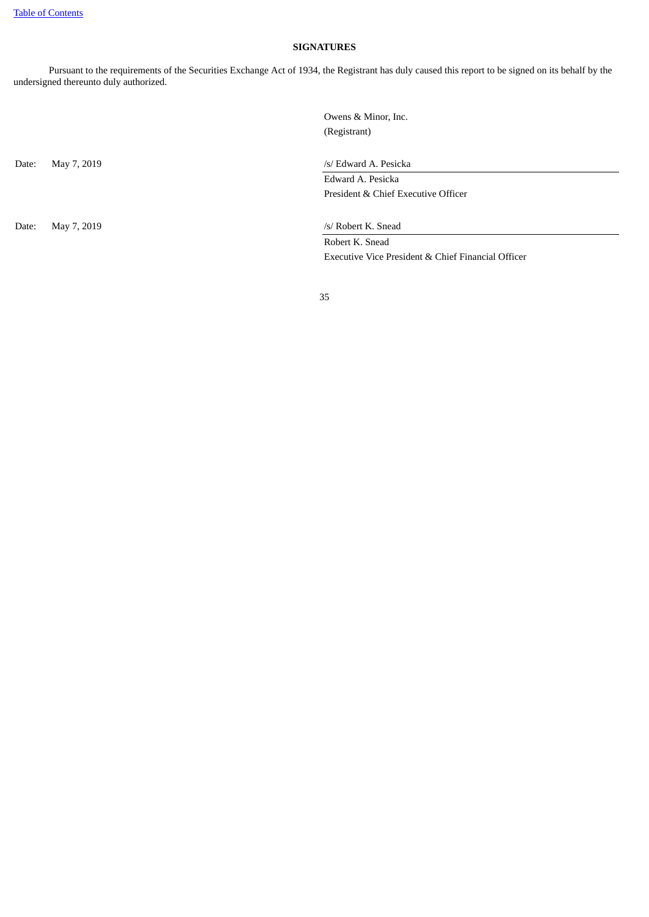# **SIGNATURES**

<span id="page-34-0"></span>Pursuant to the requirements of the Securities Exchange Act of 1934, the Registrant has duly caused this report to be signed on its behalf by the undersigned thereunto duly authorized.

Date: May 7, 2019 /s/ Robert K. Snead

Owens & Minor, Inc. (Registrant)

Date: May 7, 2019 /s/ Edward A. Pesicka

Edward A. Pesicka President & Chief Executive Officer

Robert K. Snead

Executive Vice President & Chief Financial Officer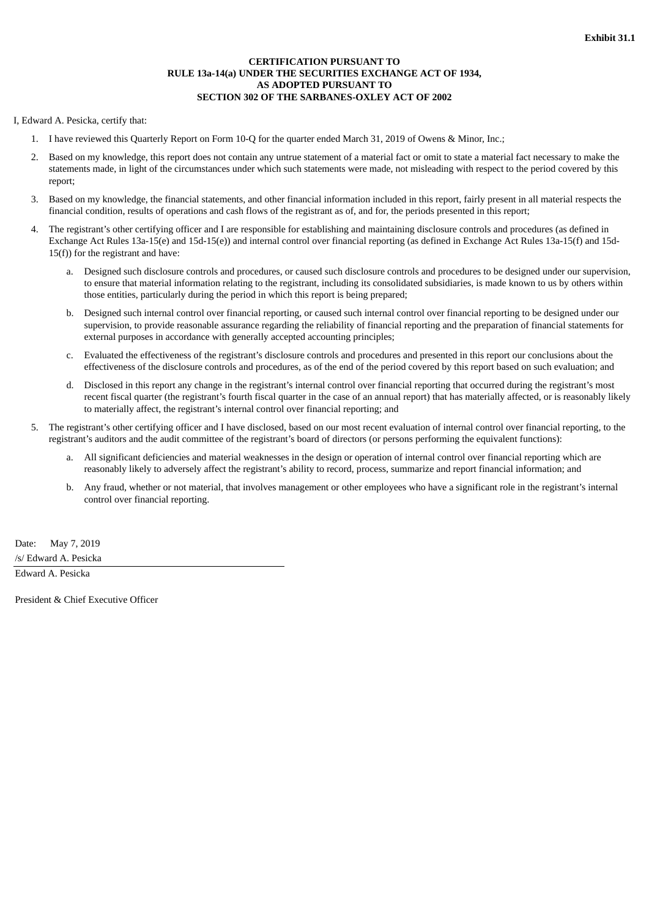# **CERTIFICATION PURSUANT TO RULE 13a-14(a) UNDER THE SECURITIES EXCHANGE ACT OF 1934, AS ADOPTED PURSUANT TO SECTION 302 OF THE SARBANES-OXLEY ACT OF 2002**

### <span id="page-35-0"></span>I, Edward A. Pesicka, certify that:

- 1. I have reviewed this Quarterly Report on Form 10-Q for the quarter ended March 31, 2019 of Owens & Minor, Inc.;
- 2. Based on my knowledge, this report does not contain any untrue statement of a material fact or omit to state a material fact necessary to make the statements made, in light of the circumstances under which such statements were made, not misleading with respect to the period covered by this report;
- 3. Based on my knowledge, the financial statements, and other financial information included in this report, fairly present in all material respects the financial condition, results of operations and cash flows of the registrant as of, and for, the periods presented in this report;
- 4. The registrant's other certifying officer and I are responsible for establishing and maintaining disclosure controls and procedures (as defined in Exchange Act Rules 13a-15(e) and 15d-15(e)) and internal control over financial reporting (as defined in Exchange Act Rules 13a-15(f) and 15d- $15(f)$ ) for the registrant and have:
	- a. Designed such disclosure controls and procedures, or caused such disclosure controls and procedures to be designed under our supervision, to ensure that material information relating to the registrant, including its consolidated subsidiaries, is made known to us by others within those entities, particularly during the period in which this report is being prepared;
	- b. Designed such internal control over financial reporting, or caused such internal control over financial reporting to be designed under our supervision, to provide reasonable assurance regarding the reliability of financial reporting and the preparation of financial statements for external purposes in accordance with generally accepted accounting principles;
	- c. Evaluated the effectiveness of the registrant's disclosure controls and procedures and presented in this report our conclusions about the effectiveness of the disclosure controls and procedures, as of the end of the period covered by this report based on such evaluation; and
	- d. Disclosed in this report any change in the registrant's internal control over financial reporting that occurred during the registrant's most recent fiscal quarter (the registrant's fourth fiscal quarter in the case of an annual report) that has materially affected, or is reasonably likely to materially affect, the registrant's internal control over financial reporting; and
- 5. The registrant's other certifying officer and I have disclosed, based on our most recent evaluation of internal control over financial reporting, to the registrant's auditors and the audit committee of the registrant's board of directors (or persons performing the equivalent functions):
	- a. All significant deficiencies and material weaknesses in the design or operation of internal control over financial reporting which are reasonably likely to adversely affect the registrant's ability to record, process, summarize and report financial information; and
	- b. Any fraud, whether or not material, that involves management or other employees who have a significant role in the registrant's internal control over financial reporting.

Date: May 7, 2019 /s/ Edward A. Pesicka Edward A. Pesicka

President & Chief Executive Officer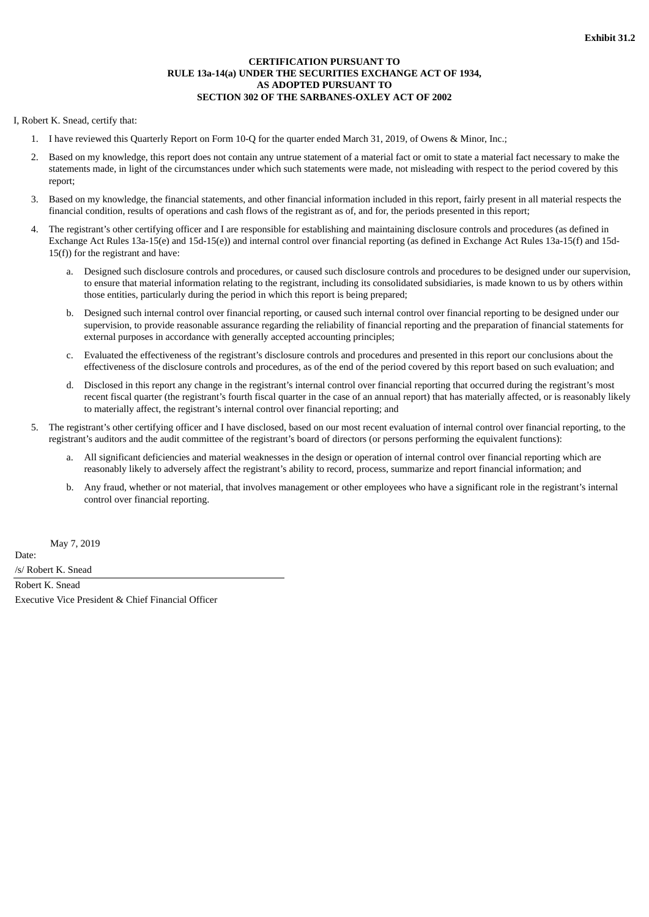# **CERTIFICATION PURSUANT TO RULE 13a-14(a) UNDER THE SECURITIES EXCHANGE ACT OF 1934, AS ADOPTED PURSUANT TO SECTION 302 OF THE SARBANES-OXLEY ACT OF 2002**

### <span id="page-36-0"></span>I, Robert K. Snead, certify that:

- 1. I have reviewed this Quarterly Report on Form 10-Q for the quarter ended March 31, 2019, of Owens & Minor, Inc.;
- 2. Based on my knowledge, this report does not contain any untrue statement of a material fact or omit to state a material fact necessary to make the statements made, in light of the circumstances under which such statements were made, not misleading with respect to the period covered by this report;
- 3. Based on my knowledge, the financial statements, and other financial information included in this report, fairly present in all material respects the financial condition, results of operations and cash flows of the registrant as of, and for, the periods presented in this report;
- 4. The registrant's other certifying officer and I are responsible for establishing and maintaining disclosure controls and procedures (as defined in Exchange Act Rules 13a-15(e) and 15d-15(e)) and internal control over financial reporting (as defined in Exchange Act Rules 13a-15(f) and 15d- $15(f)$ ) for the registrant and have:
	- a. Designed such disclosure controls and procedures, or caused such disclosure controls and procedures to be designed under our supervision, to ensure that material information relating to the registrant, including its consolidated subsidiaries, is made known to us by others within those entities, particularly during the period in which this report is being prepared;
	- b. Designed such internal control over financial reporting, or caused such internal control over financial reporting to be designed under our supervision, to provide reasonable assurance regarding the reliability of financial reporting and the preparation of financial statements for external purposes in accordance with generally accepted accounting principles;
	- c. Evaluated the effectiveness of the registrant's disclosure controls and procedures and presented in this report our conclusions about the effectiveness of the disclosure controls and procedures, as of the end of the period covered by this report based on such evaluation; and
	- d. Disclosed in this report any change in the registrant's internal control over financial reporting that occurred during the registrant's most recent fiscal quarter (the registrant's fourth fiscal quarter in the case of an annual report) that has materially affected, or is reasonably likely to materially affect, the registrant's internal control over financial reporting; and
- 5. The registrant's other certifying officer and I have disclosed, based on our most recent evaluation of internal control over financial reporting, to the registrant's auditors and the audit committee of the registrant's board of directors (or persons performing the equivalent functions):
	- a. All significant deficiencies and material weaknesses in the design or operation of internal control over financial reporting which are reasonably likely to adversely affect the registrant's ability to record, process, summarize and report financial information; and
	- b. Any fraud, whether or not material, that involves management or other employees who have a significant role in the registrant's internal control over financial reporting.

May 7, 2019

Date:

/s/ Robert K. Snead Robert K. Snead

Executive Vice President & Chief Financial Officer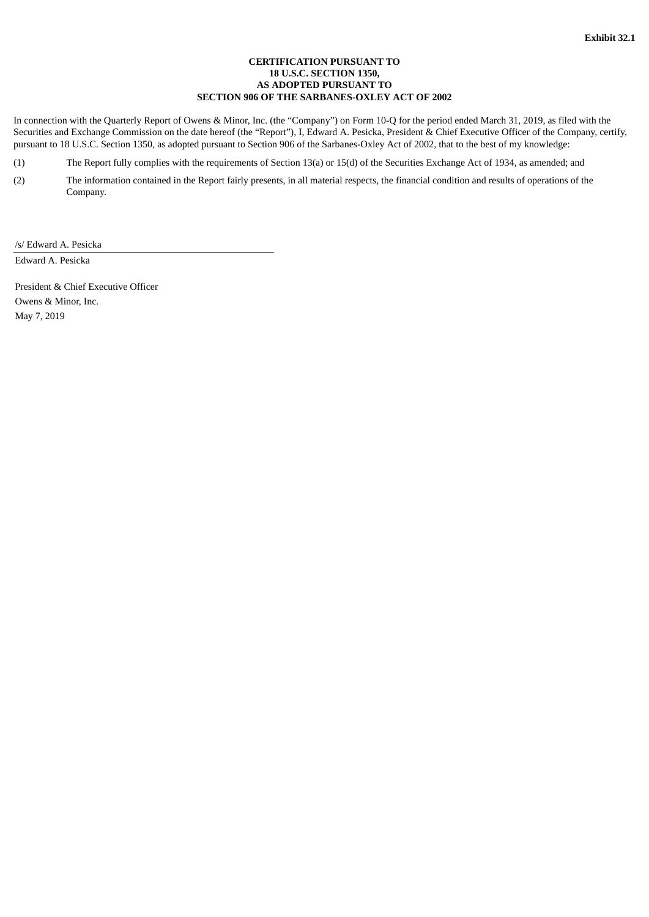# **CERTIFICATION PURSUANT TO 18 U.S.C. SECTION 1350, AS ADOPTED PURSUANT TO SECTION 906 OF THE SARBANES-OXLEY ACT OF 2002**

<span id="page-37-0"></span>In connection with the Quarterly Report of Owens & Minor, Inc. (the "Company") on Form 10-Q for the period ended March 31, 2019, as filed with the Securities and Exchange Commission on the date hereof (the "Report"), I, Edward A. Pesicka, President & Chief Executive Officer of the Company, certify, pursuant to 18 U.S.C. Section 1350, as adopted pursuant to Section 906 of the Sarbanes-Oxley Act of 2002, that to the best of my knowledge:

(1) The Report fully complies with the requirements of Section 13(a) or 15(d) of the Securities Exchange Act of 1934, as amended; and

(2) The information contained in the Report fairly presents, in all material respects, the financial condition and results of operations of the Company.

/s/ Edward A. Pesicka

Edward A. Pesicka

President & Chief Executive Officer Owens & Minor, Inc. May 7, 2019